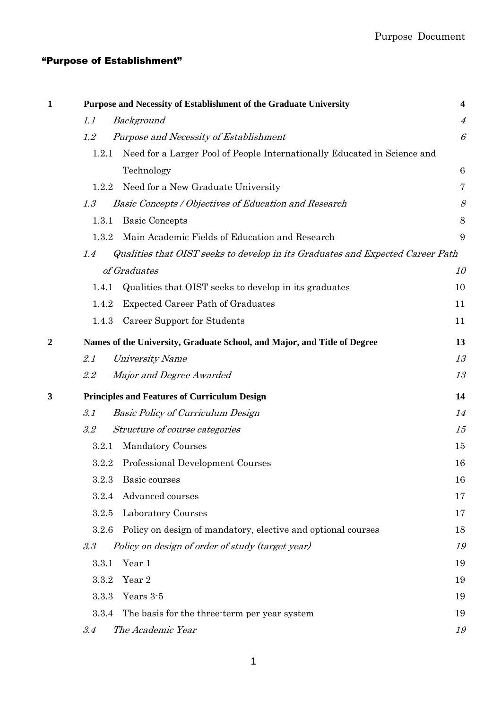## "Purpose of Establishment"

| 1            |         | Purpose and Necessity of Establishment of the Graduate University              | $\overline{\mathbf{4}}$ |
|--------------|---------|--------------------------------------------------------------------------------|-------------------------|
|              | 1.1     | Background                                                                     | $\overline{4}$          |
|              | 1.2     | Purpose and Necessity of Establishment                                         | $\mathcal{C}_{0}^{2}$   |
|              | 1.2.1   | Need for a Larger Pool of People Internationally Educated in Science and       |                         |
|              |         | Technology                                                                     | $6\phantom{.}6$         |
|              | 1.2.2   | Need for a New Graduate University                                             | 7                       |
|              | 1.3     | Basic Concepts / Objectives of Education and Research                          | 8                       |
|              | 1.3.1   | <b>Basic Concepts</b>                                                          | $8\,$                   |
|              | 1.3.2   | Main Academic Fields of Education and Research                                 | 9                       |
|              | 1.4     | Qualities that OIST seeks to develop in its Graduates and Expected Career Path |                         |
|              |         | of Graduates                                                                   | 10                      |
|              | 1.4.1   | Qualities that OIST seeks to develop in its graduates                          | 10                      |
|              | 1.4.2   | <b>Expected Career Path of Graduates</b>                                       | 11                      |
|              | 1.4.3   | Career Support for Students                                                    | 11                      |
| $\mathbf{c}$ |         | Names of the University, Graduate School, and Major, and Title of Degree       | 13                      |
|              | 2.1     | <b>University Name</b>                                                         | 13                      |
|              | 2.2     | Major and Degree Awarded                                                       | 13                      |
| 3            |         | <b>Principles and Features of Curriculum Design</b>                            | 14                      |
|              | 3.1     | <b>Basic Policy of Curriculum Design</b>                                       | 14                      |
|              | $3.2\,$ | Structure of course categories                                                 | 15                      |
|              | 3.2.1   | <b>Mandatory Courses</b>                                                       | 15                      |
|              | 3.2.2   | Professional Development Courses                                               | 16                      |
|              | 3.2.3   | Basic courses                                                                  | 16                      |
|              | 3.2.4   | Advanced courses                                                               | 17                      |
|              | 3.2.5   | Laboratory Courses                                                             | 17                      |
|              | 3.2.6   | Policy on design of mandatory, elective and optional courses                   | 18                      |
|              | $3.3\,$ | Policy on design of order of study (target year)                               | 19                      |
|              | 3.3.1   | Year 1                                                                         | 19                      |
|              | 3.3.2   | Year 2                                                                         | 19                      |
|              | 3.3.3   | Years 3-5                                                                      | 19                      |
|              | 3.3.4   | The basis for the three-term per year system                                   | 19                      |
|              | 3.4     | The Academic Year                                                              | 19                      |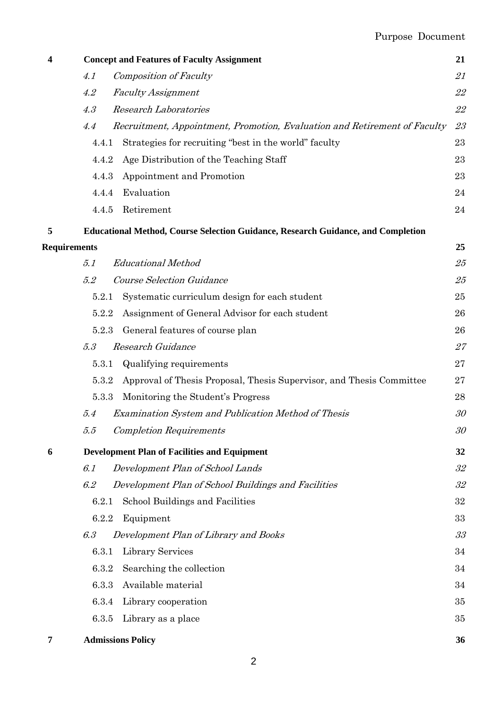## Purpose Document

| 4 |                     | <b>Concept and Features of Faculty Assignment</b>                                       | 21 |
|---|---------------------|-----------------------------------------------------------------------------------------|----|
|   | 4.1                 | <b>Composition of Faculty</b>                                                           | 21 |
|   | 4.2                 | <b>Faculty Assignment</b>                                                               | 22 |
|   | 4.3                 | <b>Research Laboratories</b>                                                            | 22 |
|   | 4.4                 | Recruitment, Appointment, Promotion, Evaluation and Retirement of Faculty               | 23 |
|   | 4.4.1               | Strategies for recruiting "best in the world" faculty                                   | 23 |
|   | 4.4.2               | Age Distribution of the Teaching Staff                                                  | 23 |
|   | 4.4.3               | Appointment and Promotion                                                               | 23 |
|   | 4.4.4               | Evaluation                                                                              | 24 |
|   | 4.4.5               | Retirement                                                                              | 24 |
| 5 |                     | <b>Educational Method, Course Selection Guidance, Research Guidance, and Completion</b> |    |
|   | <b>Requirements</b> |                                                                                         | 25 |
|   | 5.1                 | <b>Educational Method</b>                                                               | 25 |
|   | 5.2                 | <b>Course Selection Guidance</b>                                                        | 25 |
|   | 5.2.1               | Systematic curriculum design for each student                                           | 25 |
|   | 5.2.2               | Assignment of General Advisor for each student                                          | 26 |
|   | 5.2.3               | General features of course plan                                                         | 26 |
|   | 5.3                 | Research Guidance                                                                       | 27 |
|   | 5.3.1               | Qualifying requirements                                                                 | 27 |
|   | 5.3.2               | Approval of Thesis Proposal, Thesis Supervisor, and Thesis Committee                    | 27 |
|   | 5.3.3               | Monitoring the Student's Progress                                                       | 28 |
|   | 5.4                 | <b>Examination System and Publication Method of Thesis</b>                              | 30 |
|   | 5.5                 | <b>Completion Requirements</b>                                                          | 30 |
| 6 |                     | <b>Development Plan of Facilities and Equipment</b>                                     | 32 |
|   | 6.1                 | Development Plan of School Lands                                                        | 32 |
|   | 6.2                 | Development Plan of School Buildings and Facilities                                     | 32 |
|   | 6.2.1               | School Buildings and Facilities                                                         | 32 |
|   | 6.2.2               | Equipment                                                                               | 33 |
|   | 6.3                 | Development Plan of Library and Books                                                   | 33 |
|   | 6.3.1               | Library Services                                                                        | 34 |
|   | 6.3.2               | Searching the collection                                                                | 34 |
|   | 6.3.3               | Available material                                                                      | 34 |
|   | 6.3.4               | Library cooperation                                                                     | 35 |
|   | 6.3.5               | Library as a place                                                                      | 35 |
| 7 |                     | <b>Admissions Policy</b>                                                                | 36 |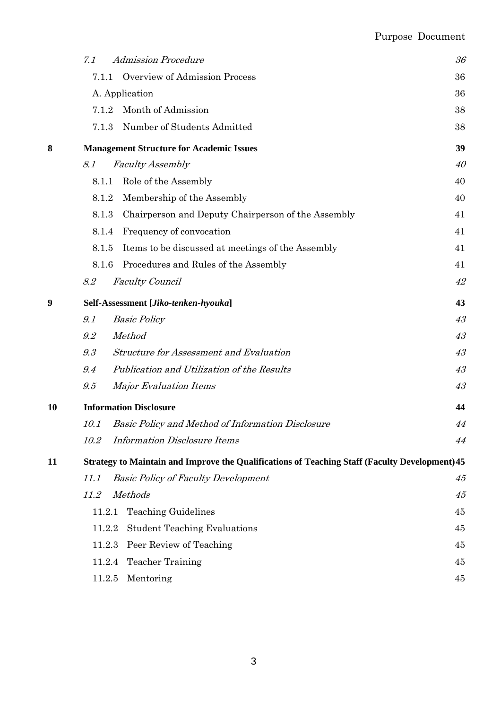# Purpose Document

|    | <b>Admission Procedure</b><br>7.1                                                              | 36 |
|----|------------------------------------------------------------------------------------------------|----|
|    | Overview of Admission Process<br>7.1.1                                                         | 36 |
|    | A. Application                                                                                 |    |
|    | Month of Admission<br>7.1.2                                                                    | 38 |
|    | Number of Students Admitted<br>7.1.3                                                           | 38 |
| 8  | <b>Management Structure for Academic Issues</b>                                                | 39 |
|    | 8.1<br><b>Faculty Assembly</b>                                                                 | 40 |
|    | Role of the Assembly<br>8.1.1                                                                  | 40 |
|    | Membership of the Assembly<br>8.1.2                                                            | 40 |
|    | Chairperson and Deputy Chairperson of the Assembly<br>8.1.3                                    | 41 |
|    | Frequency of convocation<br>8.1.4                                                              | 41 |
|    | Items to be discussed at meetings of the Assembly<br>8.1.5                                     | 41 |
|    | Procedures and Rules of the Assembly<br>8.1.6                                                  | 41 |
|    | <b>Faculty Council</b><br>8.2                                                                  | 42 |
| 9  | Self-Assessment [Jiko-tenken-hyouka]                                                           |    |
|    | 9.1<br><b>Basic Policy</b>                                                                     | 43 |
|    | Method<br>9.2                                                                                  | 43 |
|    | 9.3<br><b>Structure for Assessment and Evaluation</b>                                          | 43 |
|    | 9.4<br>Publication and Utilization of the Results                                              | 43 |
|    | 9.5<br><b>Major Evaluation Items</b>                                                           | 43 |
| 10 | <b>Information Disclosure</b>                                                                  | 44 |
|    | <b>Basic Policy and Method of Information Disclosure</b><br>10.1                               | 44 |
|    | <b>Information Disclosure Items</b><br><i>10.2</i>                                             | 44 |
| 11 | Strategy to Maintain and Improve the Qualifications of Teaching Staff (Faculty Development) 45 |    |
|    | <b>Basic Policy of Faculty Development</b><br>11.1                                             | 45 |
|    | <b>Methods</b><br>11.2                                                                         | 45 |
|    | <b>Teaching Guidelines</b><br>11.2.1                                                           | 45 |
|    | <b>Student Teaching Evaluations</b><br>11.2.2                                                  | 45 |
|    | Peer Review of Teaching<br>11.2.3                                                              | 45 |
|    | <b>Teacher Training</b><br>11.2.4                                                              | 45 |
|    | 11.2.5<br>Mentoring                                                                            | 45 |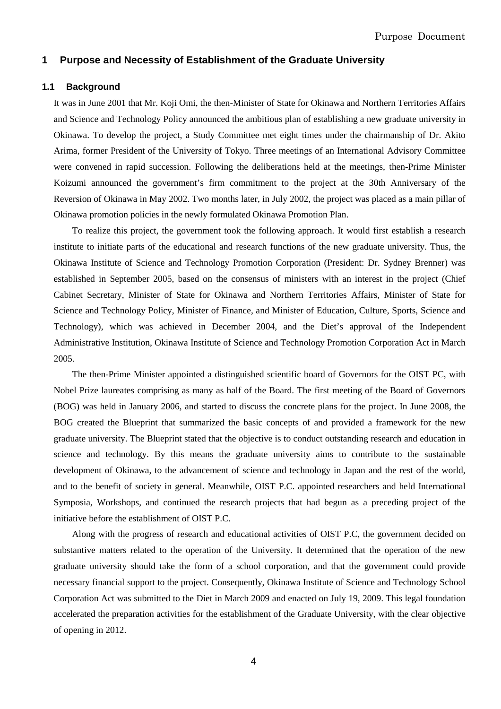## **1 Purpose and Necessity of Establishment of the Graduate University**

## **1.1 Background**

It was in June 2001 that Mr. Koji Omi, the then-Minister of State for Okinawa and Northern Territories Affairs and Science and Technology Policy announced the ambitious plan of establishing a new graduate university in Okinawa. To develop the project, a Study Committee met eight times under the chairmanship of Dr. Akito Arima, former President of the University of Tokyo. Three meetings of an International Advisory Committee were convened in rapid succession. Following the deliberations held at the meetings, then-Prime Minister Koizumi announced the government's firm commitment to the project at the 30th Anniversary of the Reversion of Okinawa in May 2002. Two months later, in July 2002, the project was placed as a main pillar of Okinawa promotion policies in the newly formulated Okinawa Promotion Plan.

To realize this project, the government took the following approach. It would first establish a research institute to initiate parts of the educational and research functions of the new graduate university. Thus, the Okinawa Institute of Science and Technology Promotion Corporation (President: Dr. Sydney Brenner) was established in September 2005, based on the consensus of ministers with an interest in the project (Chief Cabinet Secretary, Minister of State for Okinawa and Northern Territories Affairs, Minister of State for Science and Technology Policy, Minister of Finance, and Minister of Education, Culture, Sports, Science and Technology), which was achieved in December 2004, and the Diet's approval of the Independent Administrative Institution, Okinawa Institute of Science and Technology Promotion Corporation Act in March 2005.

The then-Prime Minister appointed a distinguished scientific board of Governors for the OIST PC, with Nobel Prize laureates comprising as many as half of the Board. The first meeting of the Board of Governors (BOG) was held in January 2006, and started to discuss the concrete plans for the project. In June 2008, the BOG created the Blueprint that summarized the basic concepts of and provided a framework for the new graduate university. The Blueprint stated that the objective is to conduct outstanding research and education in science and technology. By this means the graduate university aims to contribute to the sustainable development of Okinawa, to the advancement of science and technology in Japan and the rest of the world, and to the benefit of society in general. Meanwhile, OIST P.C. appointed researchers and held International Symposia, Workshops, and continued the research projects that had begun as a preceding project of the initiative before the establishment of OIST P.C.

Along with the progress of research and educational activities of OIST P.C, the government decided on substantive matters related to the operation of the University. It determined that the operation of the new graduate university should take the form of a school corporation, and that the government could provide necessary financial support to the project. Consequently, Okinawa Institute of Science and Technology School Corporation Act was submitted to the Diet in March 2009 and enacted on July 19, 2009. This legal foundation accelerated the preparation activities for the establishment of the Graduate University, with the clear objective of opening in 2012.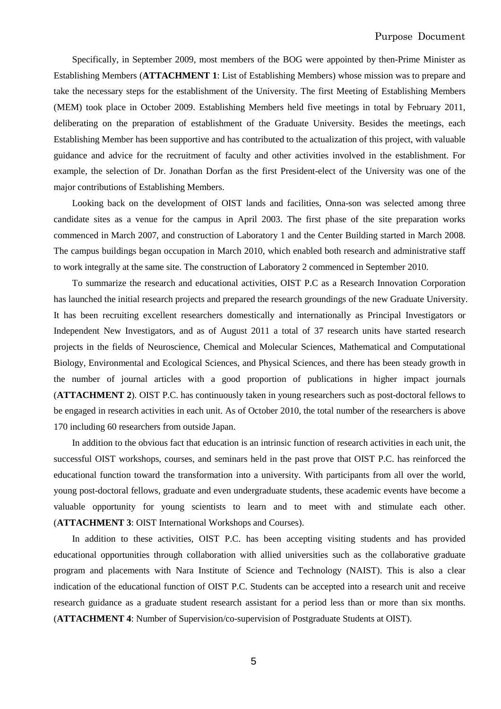Specifically, in September 2009, most members of the BOG were appointed by then-Prime Minister as Establishing Members (**ATTACHMENT 1**: List of Establishing Members) whose mission was to prepare and take the necessary steps for the establishment of the University. The first Meeting of Establishing Members (MEM) took place in October 2009. Establishing Members held five meetings in total by February 2011, deliberating on the preparation of establishment of the Graduate University. Besides the meetings, each Establishing Member has been supportive and has contributed to the actualization of this project, with valuable guidance and advice for the recruitment of faculty and other activities involved in the establishment. For example, the selection of Dr. Jonathan Dorfan as the first President-elect of the University was one of the major contributions of Establishing Members.

Looking back on the development of OIST lands and facilities, Onna-son was selected among three candidate sites as a venue for the campus in April 2003. The first phase of the site preparation works commenced in March 2007, and construction of Laboratory 1 and the Center Building started in March 2008. The campus buildings began occupation in March 2010, which enabled both research and administrative staff to work integrally at the same site. The construction of Laboratory 2 commenced in September 2010.

To summarize the research and educational activities, OIST P.C as a Research Innovation Corporation has launched the initial research projects and prepared the research groundings of the new Graduate University. It has been recruiting excellent researchers domestically and internationally as Principal Investigators or Independent New Investigators, and as of August 2011 a total of 37 research units have started research projects in the fields of Neuroscience, Chemical and Molecular Sciences, Mathematical and Computational Biology, Environmental and Ecological Sciences, and Physical Sciences, and there has been steady growth in the number of journal articles with a good proportion of publications in higher impact journals (**ATTACHMENT 2**). OIST P.C. has continuously taken in young researchers such as post-doctoral fellows to be engaged in research activities in each unit. As of October 2010, the total number of the researchers is above 170 including 60 researchers from outside Japan.

In addition to the obvious fact that education is an intrinsic function of research activities in each unit, the successful OIST workshops, courses, and seminars held in the past prove that OIST P.C. has reinforced the educational function toward the transformation into a university. With participants from all over the world, young post-doctoral fellows, graduate and even undergraduate students, these academic events have become a valuable opportunity for young scientists to learn and to meet with and stimulate each other. (**ATTACHMENT 3**: OIST International Workshops and Courses).

In addition to these activities, OIST P.C. has been accepting visiting students and has provided educational opportunities through collaboration with allied universities such as the collaborative graduate program and placements with Nara Institute of Science and Technology (NAIST). This is also a clear indication of the educational function of OIST P.C. Students can be accepted into a research unit and receive research guidance as a graduate student research assistant for a period less than or more than six months. (**ATTACHMENT 4**: Number of Supervision/co-supervision of Postgraduate Students at OIST).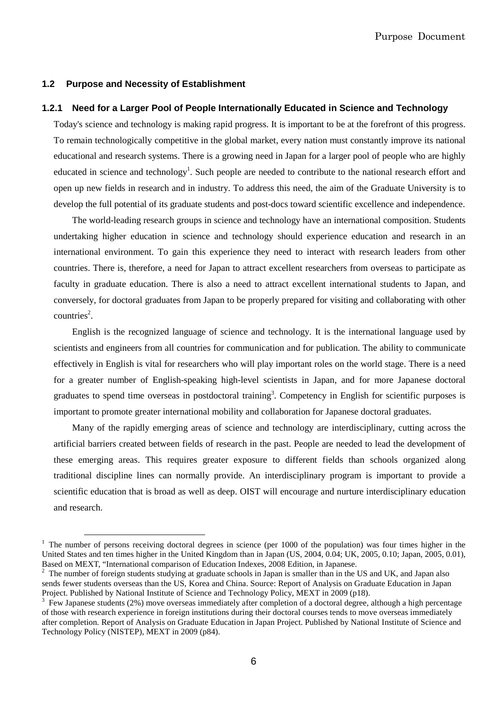## **1.2 Purpose and Necessity of Establishment**

 $\overline{a}$ 

## **1.2.1 Need for a Larger Pool of People Internationally Educated in Science and Technology**

Today's science and technology is making rapid progress. It is important to be at the forefront of this progress. To remain technologically competitive in the global market, every nation must constantly improve its national educational and research systems. There is a growing need in Japan for a larger pool of people who are highly educated in science and technology<sup>1</sup>. Such people are needed to contribute to the national research effort and open up new fields in research and in industry. To address this need, the aim of the Graduate University is to develop the full potential of its graduate students and post-docs toward scientific excellence and independence.

The world-leading research groups in science and technology have an international composition. Students undertaking higher education in science and technology should experience education and research in an international environment. To gain this experience they need to interact with research leaders from other countries. There is, therefore, a need for Japan to attract excellent researchers from overseas to participate as faculty in graduate education. There is also a need to attract excellent international students to Japan, and conversely, for doctoral graduates from Japan to be properly prepared for visiting and collaborating with other  $countries<sup>2</sup>$ .

English is the recognized language of science and technology. It is the international language used by scientists and engineers from all countries for communication and for publication. The ability to communicate effectively in English is vital for researchers who will play important roles on the world stage. There is a need for a greater number of English-speaking high-level scientists in Japan, and for more Japanese doctoral graduates to spend time overseas in postdoctoral training<sup>3</sup>. Competency in English for scientific purposes is important to promote greater international mobility and collaboration for Japanese doctoral graduates.

Many of the rapidly emerging areas of science and technology are interdisciplinary, cutting across the artificial barriers created between fields of research in the past. People are needed to lead the development of these emerging areas. This requires greater exposure to different fields than schools organized along traditional discipline lines can normally provide. An interdisciplinary program is important to provide a scientific education that is broad as well as deep. OIST will encourage and nurture interdisciplinary education and research.

 $1$  The number of persons receiving doctoral degrees in science (per 1000 of the population) was four times higher in the United States and ten times higher in the United Kingdom than in Japan (US, 2004, 0.04; UK, 2005, 0.10; Japan, 2005, 0.01), Based on MEXT, "International comparison of Education Indexes, 2008 Edition, in Japanese.

 $2$  The number of foreign students studying at graduate schools in Japan is smaller than in the US and UK, and Japan also sends fewer students overseas than the US, Korea and China. Source: Report of Analysis on Graduate Education in Japan Project. Published by National Institute of Science and Technology Policy, MEXT in 2009 (p18).

 $3$  Few Japanese students (2%) move overseas immediately after completion of a doctoral degree, although a high percentage of those with research experience in foreign institutions during their doctoral courses tends to move overseas immediately after completion. Report of Analysis on Graduate Education in Japan Project. Published by National Institute of Science and Technology Policy (NISTEP), MEXT in 2009 (p84).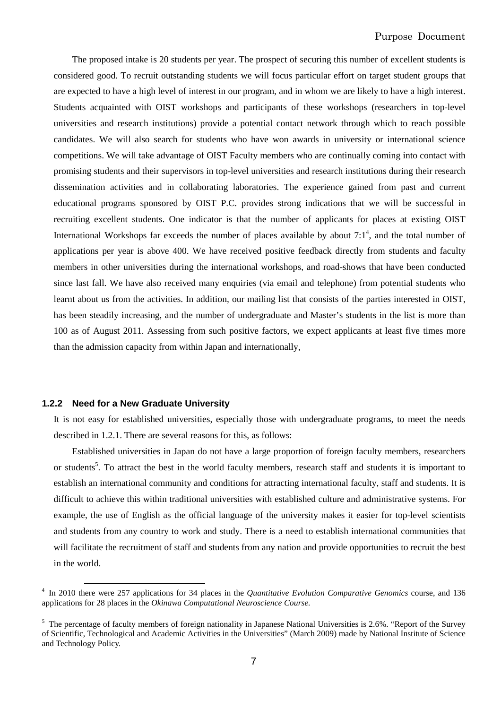The proposed intake is 20 students per year. The prospect of securing this number of excellent students is considered good. To recruit outstanding students we will focus particular effort on target student groups that are expected to have a high level of interest in our program, and in whom we are likely to have a high interest. Students acquainted with OIST workshops and participants of these workshops (researchers in top-level universities and research institutions) provide a potential contact network through which to reach possible candidates. We will also search for students who have won awards in university or international science competitions. We will take advantage of OIST Faculty members who are continually coming into contact with promising students and their supervisors in top-level universities and research institutions during their research dissemination activities and in collaborating laboratories. The experience gained from past and current educational programs sponsored by OIST P.C. provides strong indications that we will be successful in recruiting excellent students. One indicator is that the number of applicants for places at existing OIST International Workshops far exceeds the number of places available by about  $7:1<sup>4</sup>$ , and the total number of applications per year is above 400. We have received positive feedback directly from students and faculty members in other universities during the international workshops, and road-shows that have been conducted since last fall. We have also received many enquiries (via email and telephone) from potential students who learnt about us from the activities. In addition, our mailing list that consists of the parties interested in OIST, has been steadily increasing, and the number of undergraduate and Master's students in the list is more than 100 as of August 2011. Assessing from such positive factors, we expect applicants at least five times more than the admission capacity from within Japan and internationally,

## **1.2.2 Need for a New Graduate University**

 $\overline{a}$ 

It is not easy for established universities, especially those with undergraduate programs, to meet the needs described in 1.2.1. There are several reasons for this, as follows:

Established universities in Japan do not have a large proportion of foreign faculty members, researchers or students<sup>5</sup>. To attract the best in the world faculty members, research staff and students it is important to establish an international community and conditions for attracting international faculty, staff and students. It is difficult to achieve this within traditional universities with established culture and administrative systems. For example, the use of English as the official language of the university makes it easier for top-level scientists and students from any country to work and study. There is a need to establish international communities that will facilitate the recruitment of staff and students from any nation and provide opportunities to recruit the best in the world.

<sup>4</sup> In 2010 there were 257 applications for 34 places in the *Quantitative Evolution Comparative Genomics* course, and 136 applications for 28 places in the *Okinawa Computational Neuroscience Course.* 

 $5$  The percentage of faculty members of foreign nationality in Japanese National Universities is 2.6%. "Report of the Survey of Scientific, Technological and Academic Activities in the Universities" (March 2009) made by National Institute of Science and Technology Policy.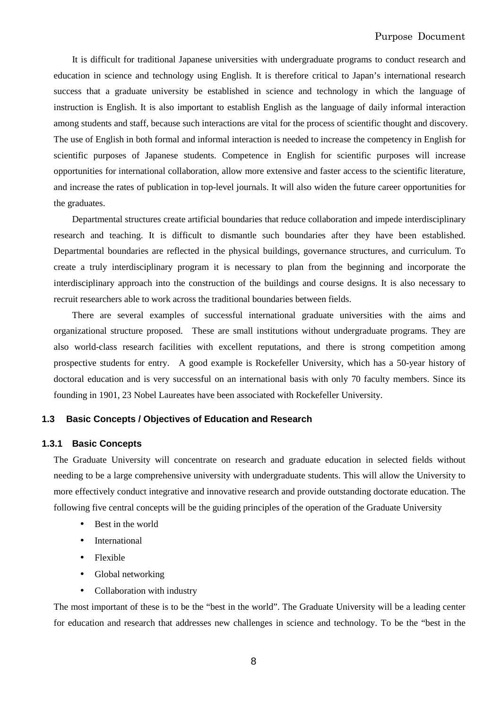It is difficult for traditional Japanese universities with undergraduate programs to conduct research and education in science and technology using English. It is therefore critical to Japan's international research success that a graduate university be established in science and technology in which the language of instruction is English. It is also important to establish English as the language of daily informal interaction among students and staff, because such interactions are vital for the process of scientific thought and discovery. The use of English in both formal and informal interaction is needed to increase the competency in English for scientific purposes of Japanese students. Competence in English for scientific purposes will increase opportunities for international collaboration, allow more extensive and faster access to the scientific literature, and increase the rates of publication in top-level journals. It will also widen the future career opportunities for the graduates.

Departmental structures create artificial boundaries that reduce collaboration and impede interdisciplinary research and teaching. It is difficult to dismantle such boundaries after they have been established. Departmental boundaries are reflected in the physical buildings, governance structures, and curriculum. To create a truly interdisciplinary program it is necessary to plan from the beginning and incorporate the interdisciplinary approach into the construction of the buildings and course designs. It is also necessary to recruit researchers able to work across the traditional boundaries between fields.

There are several examples of successful international graduate universities with the aims and organizational structure proposed. These are small institutions without undergraduate programs. They are also world-class research facilities with excellent reputations, and there is strong competition among prospective students for entry. A good example is Rockefeller University, which has a 50-year history of doctoral education and is very successful on an international basis with only 70 faculty members. Since its founding in 1901, 23 Nobel Laureates have been associated with Rockefeller University.

## **1.3 Basic Concepts / Objectives of Education and Research**

## **1.3.1 Basic Concepts**

The Graduate University will concentrate on research and graduate education in selected fields without needing to be a large comprehensive university with undergraduate students. This will allow the University to more effectively conduct integrative and innovative research and provide outstanding doctorate education. The following five central concepts will be the guiding principles of the operation of the Graduate University

- Best in the world
- **International**
- Flexible
- Global networking
- Collaboration with industry

The most important of these is to be the "best in the world". The Graduate University will be a leading center for education and research that addresses new challenges in science and technology. To be the "best in the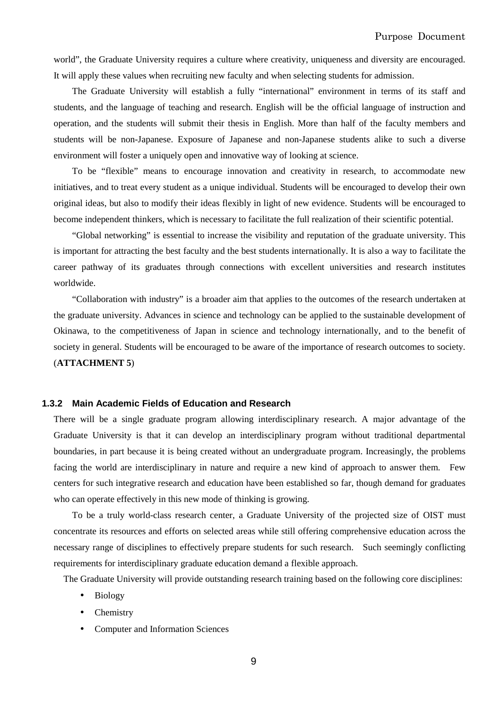world", the Graduate University requires a culture where creativity, uniqueness and diversity are encouraged. It will apply these values when recruiting new faculty and when selecting students for admission.

The Graduate University will establish a fully "international" environment in terms of its staff and students, and the language of teaching and research. English will be the official language of instruction and operation, and the students will submit their thesis in English. More than half of the faculty members and students will be non-Japanese. Exposure of Japanese and non-Japanese students alike to such a diverse environment will foster a uniquely open and innovative way of looking at science.

To be "flexible" means to encourage innovation and creativity in research, to accommodate new initiatives, and to treat every student as a unique individual. Students will be encouraged to develop their own original ideas, but also to modify their ideas flexibly in light of new evidence. Students will be encouraged to become independent thinkers, which is necessary to facilitate the full realization of their scientific potential.

"Global networking" is essential to increase the visibility and reputation of the graduate university. This is important for attracting the best faculty and the best students internationally. It is also a way to facilitate the career pathway of its graduates through connections with excellent universities and research institutes worldwide.

"Collaboration with industry" is a broader aim that applies to the outcomes of the research undertaken at the graduate university. Advances in science and technology can be applied to the sustainable development of Okinawa, to the competitiveness of Japan in science and technology internationally, and to the benefit of society in general. Students will be encouraged to be aware of the importance of research outcomes to society. (**ATTACHMENT 5**)

## **1.3.2 Main Academic Fields of Education and Research**

There will be a single graduate program allowing interdisciplinary research. A major advantage of the Graduate University is that it can develop an interdisciplinary program without traditional departmental boundaries, in part because it is being created without an undergraduate program. Increasingly, the problems facing the world are interdisciplinary in nature and require a new kind of approach to answer them. Few centers for such integrative research and education have been established so far, though demand for graduates who can operate effectively in this new mode of thinking is growing.

To be a truly world-class research center, a Graduate University of the projected size of OIST must concentrate its resources and efforts on selected areas while still offering comprehensive education across the necessary range of disciplines to effectively prepare students for such research. Such seemingly conflicting requirements for interdisciplinary graduate education demand a flexible approach.

The Graduate University will provide outstanding research training based on the following core disciplines:

- Biology
- **Chemistry**
- Computer and Information Sciences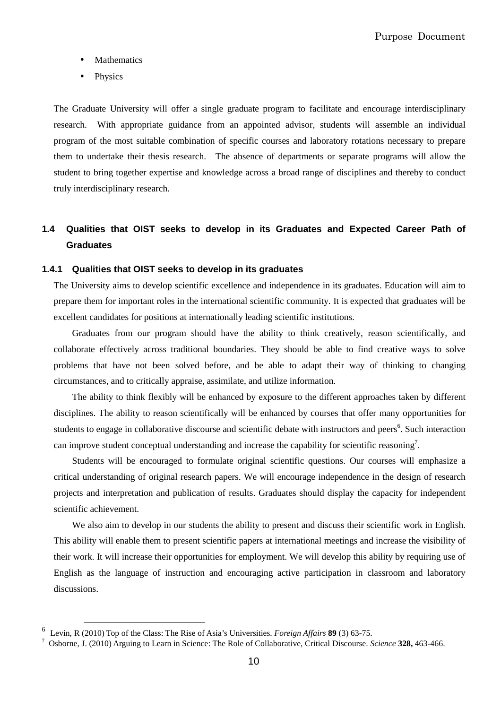- **Mathematics**
- **Physics**

The Graduate University will offer a single graduate program to facilitate and encourage interdisciplinary research. With appropriate guidance from an appointed advisor, students will assemble an individual program of the most suitable combination of specific courses and laboratory rotations necessary to prepare them to undertake their thesis research. The absence of departments or separate programs will allow the student to bring together expertise and knowledge across a broad range of disciplines and thereby to conduct truly interdisciplinary research.

## **1.4 Qualities that OIST seeks to develop in its Graduates and Expected Career Path of Graduates**

#### **1.4.1 Qualities that OIST seeks to develop in its graduates**

The University aims to develop scientific excellence and independence in its graduates. Education will aim to prepare them for important roles in the international scientific community. It is expected that graduates will be excellent candidates for positions at internationally leading scientific institutions.

Graduates from our program should have the ability to think creatively, reason scientifically, and collaborate effectively across traditional boundaries. They should be able to find creative ways to solve problems that have not been solved before, and be able to adapt their way of thinking to changing circumstances, and to critically appraise, assimilate, and utilize information.

The ability to think flexibly will be enhanced by exposure to the different approaches taken by different disciplines. The ability to reason scientifically will be enhanced by courses that offer many opportunities for students to engage in collaborative discourse and scientific debate with instructors and peers<sup>6</sup>. Such interaction can improve student conceptual understanding and increase the capability for scientific reasoning<sup>7</sup>.

Students will be encouraged to formulate original scientific questions. Our courses will emphasize a critical understanding of original research papers. We will encourage independence in the design of research projects and interpretation and publication of results. Graduates should display the capacity for independent scientific achievement.

We also aim to develop in our students the ability to present and discuss their scientific work in English. This ability will enable them to present scientific papers at international meetings and increase the visibility of their work. It will increase their opportunities for employment. We will develop this ability by requiring use of English as the language of instruction and encouraging active participation in classroom and laboratory discussions.

 $\overline{a}$ 

<sup>6</sup> Levin, R (2010) Top of the Class: The Rise of Asia's Universities. *Foreign Affairs* **89** (3) 63-75.

<sup>7</sup> Osborne, J. (2010) Arguing to Learn in Science: The Role of Collaborative, Critical Discourse. *Science* **328,** 463-466.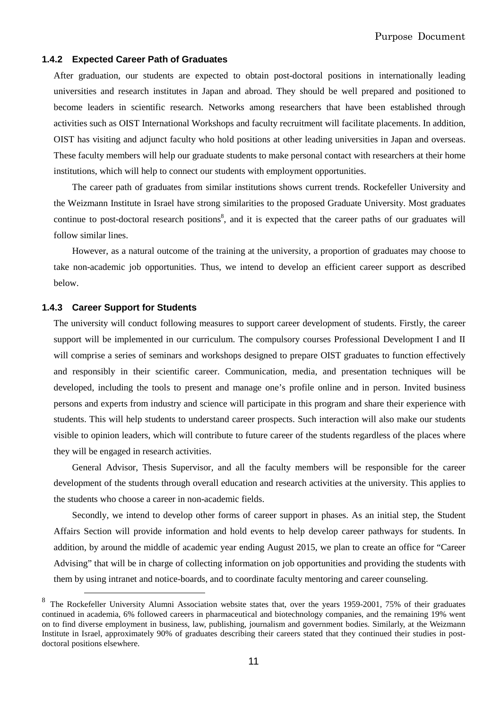## **1.4.2 Expected Career Path of Graduates**

After graduation, our students are expected to obtain post-doctoral positions in internationally leading universities and research institutes in Japan and abroad. They should be well prepared and positioned to become leaders in scientific research. Networks among researchers that have been established through activities such as OIST International Workshops and faculty recruitment will facilitate placements. In addition, OIST has visiting and adjunct faculty who hold positions at other leading universities in Japan and overseas. These faculty members will help our graduate students to make personal contact with researchers at their home institutions, which will help to connect our students with employment opportunities.

The career path of graduates from similar institutions shows current trends. Rockefeller University and the Weizmann Institute in Israel have strong similarities to the proposed Graduate University. Most graduates continue to post-doctoral research positions<sup>8</sup>, and it is expected that the career paths of our graduates will follow similar lines.

However, as a natural outcome of the training at the university, a proportion of graduates may choose to take non-academic job opportunities. Thus, we intend to develop an efficient career support as described below.

#### **1.4.3 Career Support for Students**

 $\overline{a}$ 

The university will conduct following measures to support career development of students. Firstly, the career support will be implemented in our curriculum. The compulsory courses Professional Development I and II will comprise a series of seminars and workshops designed to prepare OIST graduates to function effectively and responsibly in their scientific career. Communication, media, and presentation techniques will be developed, including the tools to present and manage one's profile online and in person. Invited business persons and experts from industry and science will participate in this program and share their experience with students. This will help students to understand career prospects. Such interaction will also make our students visible to opinion leaders, which will contribute to future career of the students regardless of the places where they will be engaged in research activities.

General Advisor, Thesis Supervisor, and all the faculty members will be responsible for the career development of the students through overall education and research activities at the university. This applies to the students who choose a career in non-academic fields.

Secondly, we intend to develop other forms of career support in phases. As an initial step, the Student Affairs Section will provide information and hold events to help develop career pathways for students. In addition, by around the middle of academic year ending August 2015, we plan to create an office for "Career Advising" that will be in charge of collecting information on job opportunities and providing the students with them by using intranet and notice-boards, and to coordinate faculty mentoring and career counseling.

<sup>8</sup> The Rockefeller University Alumni Association website states that, over the years 1959-2001, 75% of their graduates continued in academia, 6% followed careers in pharmaceutical and biotechnology companies, and the remaining 19% went on to find diverse employment in business, law, publishing, journalism and government bodies. Similarly, at the Weizmann Institute in Israel, approximately 90% of graduates describing their careers stated that they continued their studies in postdoctoral positions elsewhere.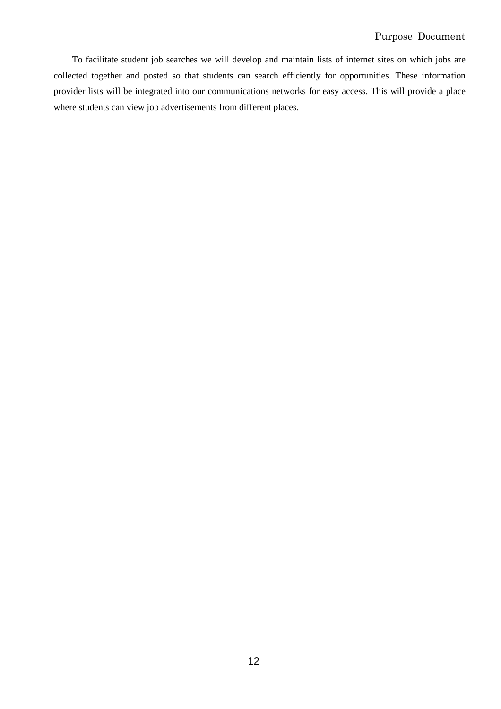To facilitate student job searches we will develop and maintain lists of internet sites on which jobs are collected together and posted so that students can search efficiently for opportunities. These information provider lists will be integrated into our communications networks for easy access. This will provide a place where students can view job advertisements from different places.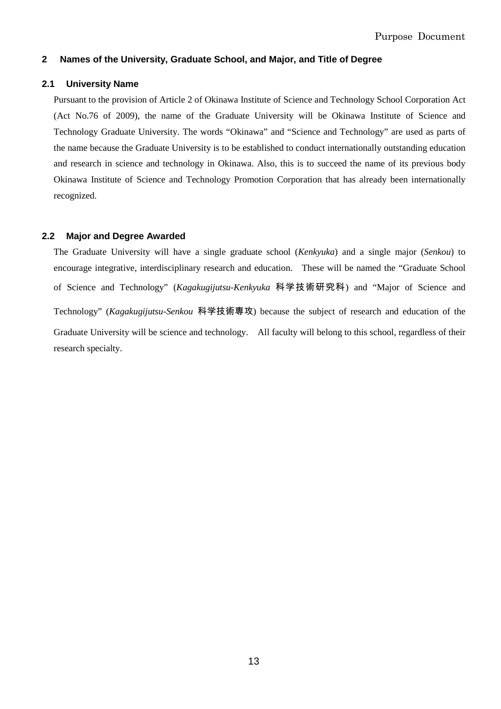## **2 Names of the University, Graduate School, and Major, and Title of Degree**

## **2.1 University Name**

Pursuant to the provision of Article 2 of Okinawa Institute of Science and Technology School Corporation Act (Act No.76 of 2009), the name of the Graduate University will be Okinawa Institute of Science and Technology Graduate University. The words "Okinawa" and "Science and Technology" are used as parts of the name because the Graduate University is to be established to conduct internationally outstanding education and research in science and technology in Okinawa. Also, this is to succeed the name of its previous body Okinawa Institute of Science and Technology Promotion Corporation that has already been internationally recognized.

## **2.2 Major and Degree Awarded**

The Graduate University will have a single graduate school (*Kenkyuka*) and a single major (*Senkou*) to encourage integrative, interdisciplinary research and education. These will be named the "Graduate School of Science and Technology" (*Kagakugijutsu-Kenkyuka* 科学技術研究科) and "Major of Science and Technology" (*Kagakugijutsu-Senkou* 科学技術専攻) because the subject of research and education of the Graduate University will be science and technology. All faculty will belong to this school, regardless of their research specialty.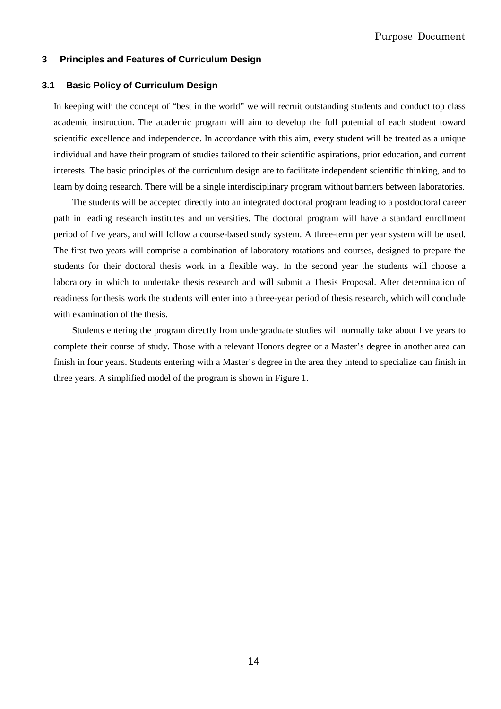## **3 Principles and Features of Curriculum Design**

#### **3.1 Basic Policy of Curriculum Design**

In keeping with the concept of "best in the world" we will recruit outstanding students and conduct top class academic instruction. The academic program will aim to develop the full potential of each student toward scientific excellence and independence. In accordance with this aim, every student will be treated as a unique individual and have their program of studies tailored to their scientific aspirations, prior education, and current interests. The basic principles of the curriculum design are to facilitate independent scientific thinking, and to learn by doing research. There will be a single interdisciplinary program without barriers between laboratories.

The students will be accepted directly into an integrated doctoral program leading to a postdoctoral career path in leading research institutes and universities. The doctoral program will have a standard enrollment period of five years, and will follow a course-based study system. A three-term per year system will be used. The first two years will comprise a combination of laboratory rotations and courses, designed to prepare the students for their doctoral thesis work in a flexible way. In the second year the students will choose a laboratory in which to undertake thesis research and will submit a Thesis Proposal. After determination of readiness for thesis work the students will enter into a three-year period of thesis research, which will conclude with examination of the thesis.

Students entering the program directly from undergraduate studies will normally take about five years to complete their course of study. Those with a relevant Honors degree or a Master's degree in another area can finish in four years. Students entering with a Master's degree in the area they intend to specialize can finish in three years. A simplified model of the program is shown in Figure 1.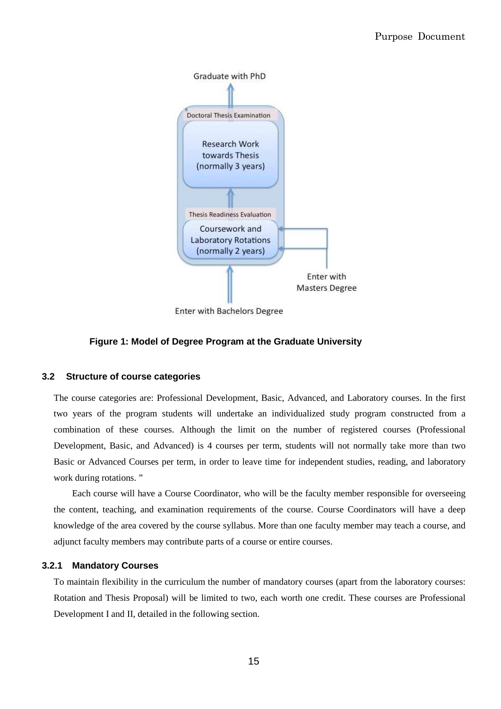

**Enter with Bachelors Degree** 

## **Figure 1: Model of Degree Program at the Graduate University**

## **3.2 Structure of course categories**

The course categories are: Professional Development, Basic, Advanced, and Laboratory courses. In the first two years of the program students will undertake an individualized study program constructed from a combination of these courses. Although the limit on the number of registered courses (Professional Development, Basic, and Advanced) is 4 courses per term, students will not normally take more than two Basic or Advanced Courses per term, in order to leave time for independent studies, reading, and laboratory work during rotations. "

Each course will have a Course Coordinator, who will be the faculty member responsible for overseeing the content, teaching, and examination requirements of the course. Course Coordinators will have a deep knowledge of the area covered by the course syllabus. More than one faculty member may teach a course, and adjunct faculty members may contribute parts of a course or entire courses.

## **3.2.1 Mandatory Courses**

To maintain flexibility in the curriculum the number of mandatory courses (apart from the laboratory courses: Rotation and Thesis Proposal) will be limited to two, each worth one credit. These courses are Professional Development I and II, detailed in the following section.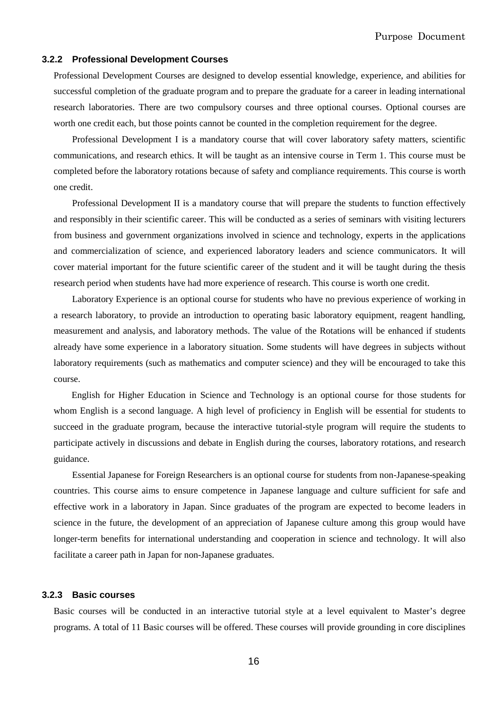## **3.2.2 Professional Development Courses**

Professional Development Courses are designed to develop essential knowledge, experience, and abilities for successful completion of the graduate program and to prepare the graduate for a career in leading international research laboratories. There are two compulsory courses and three optional courses. Optional courses are worth one credit each, but those points cannot be counted in the completion requirement for the degree.

Professional Development I is a mandatory course that will cover laboratory safety matters, scientific communications, and research ethics. It will be taught as an intensive course in Term 1. This course must be completed before the laboratory rotations because of safety and compliance requirements. This course is worth one credit.

Professional Development II is a mandatory course that will prepare the students to function effectively and responsibly in their scientific career. This will be conducted as a series of seminars with visiting lecturers from business and government organizations involved in science and technology, experts in the applications and commercialization of science, and experienced laboratory leaders and science communicators. It will cover material important for the future scientific career of the student and it will be taught during the thesis research period when students have had more experience of research. This course is worth one credit.

Laboratory Experience is an optional course for students who have no previous experience of working in a research laboratory, to provide an introduction to operating basic laboratory equipment, reagent handling, measurement and analysis, and laboratory methods. The value of the Rotations will be enhanced if students already have some experience in a laboratory situation. Some students will have degrees in subjects without laboratory requirements (such as mathematics and computer science) and they will be encouraged to take this course.

English for Higher Education in Science and Technology is an optional course for those students for whom English is a second language. A high level of proficiency in English will be essential for students to succeed in the graduate program, because the interactive tutorial-style program will require the students to participate actively in discussions and debate in English during the courses, laboratory rotations, and research guidance.

Essential Japanese for Foreign Researchers is an optional course for students from non-Japanese-speaking countries. This course aims to ensure competence in Japanese language and culture sufficient for safe and effective work in a laboratory in Japan. Since graduates of the program are expected to become leaders in science in the future, the development of an appreciation of Japanese culture among this group would have longer-term benefits for international understanding and cooperation in science and technology. It will also facilitate a career path in Japan for non-Japanese graduates.

## **3.2.3 Basic courses**

Basic courses will be conducted in an interactive tutorial style at a level equivalent to Master's degree programs. A total of 11 Basic courses will be offered. These courses will provide grounding in core disciplines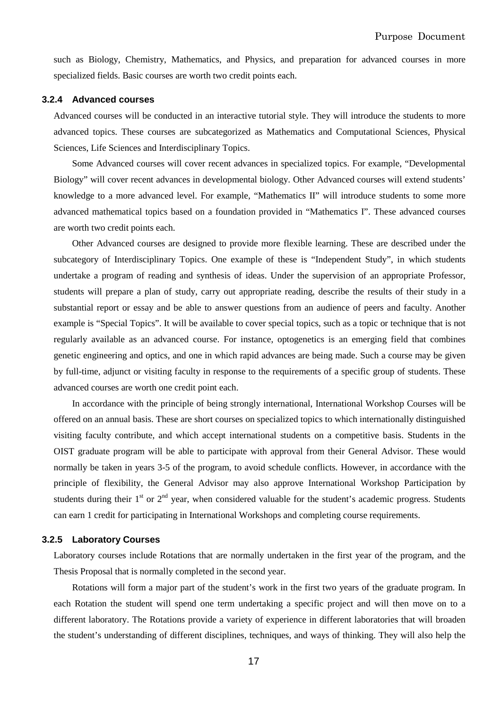such as Biology, Chemistry, Mathematics, and Physics, and preparation for advanced courses in more specialized fields. Basic courses are worth two credit points each.

#### **3.2.4 Advanced courses**

Advanced courses will be conducted in an interactive tutorial style. They will introduce the students to more advanced topics. These courses are subcategorized as Mathematics and Computational Sciences, Physical Sciences, Life Sciences and Interdisciplinary Topics.

Some Advanced courses will cover recent advances in specialized topics. For example, "Developmental Biology" will cover recent advances in developmental biology. Other Advanced courses will extend students' knowledge to a more advanced level. For example, "Mathematics II" will introduce students to some more advanced mathematical topics based on a foundation provided in "Mathematics I". These advanced courses are worth two credit points each.

Other Advanced courses are designed to provide more flexible learning. These are described under the subcategory of Interdisciplinary Topics. One example of these is "Independent Study", in which students undertake a program of reading and synthesis of ideas. Under the supervision of an appropriate Professor, students will prepare a plan of study, carry out appropriate reading, describe the results of their study in a substantial report or essay and be able to answer questions from an audience of peers and faculty. Another example is "Special Topics". It will be available to cover special topics, such as a topic or technique that is not regularly available as an advanced course. For instance, optogenetics is an emerging field that combines genetic engineering and optics, and one in which rapid advances are being made. Such a course may be given by full-time, adjunct or visiting faculty in response to the requirements of a specific group of students. These advanced courses are worth one credit point each.

In accordance with the principle of being strongly international, International Workshop Courses will be offered on an annual basis. These are short courses on specialized topics to which internationally distinguished visiting faculty contribute, and which accept international students on a competitive basis. Students in the OIST graduate program will be able to participate with approval from their General Advisor. These would normally be taken in years 3-5 of the program, to avoid schedule conflicts. However, in accordance with the principle of flexibility, the General Advisor may also approve International Workshop Participation by students during their  $1<sup>st</sup>$  or  $2<sup>nd</sup>$  year, when considered valuable for the student's academic progress. Students can earn 1 credit for participating in International Workshops and completing course requirements.

## **3.2.5 Laboratory Courses**

Laboratory courses include Rotations that are normally undertaken in the first year of the program, and the Thesis Proposal that is normally completed in the second year.

Rotations will form a major part of the student's work in the first two years of the graduate program. In each Rotation the student will spend one term undertaking a specific project and will then move on to a different laboratory. The Rotations provide a variety of experience in different laboratories that will broaden the student's understanding of different disciplines, techniques, and ways of thinking. They will also help the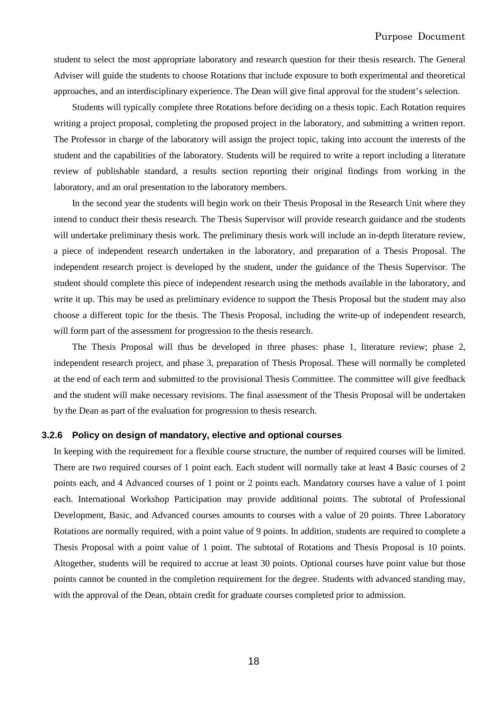student to select the most appropriate laboratory and research question for their thesis research. The General Adviser will guide the students to choose Rotations that include exposure to both experimental and theoretical approaches, and an interdisciplinary experience. The Dean will give final approval for the student's selection.

Students will typically complete three Rotations before deciding on a thesis topic. Each Rotation requires writing a project proposal, completing the proposed project in the laboratory, and submitting a written report. The Professor in charge of the laboratory will assign the project topic, taking into account the interests of the student and the capabilities of the laboratory. Students will be required to write a report including a literature review of publishable standard, a results section reporting their original findings from working in the laboratory, and an oral presentation to the laboratory members.

In the second year the students will begin work on their Thesis Proposal in the Research Unit where they intend to conduct their thesis research. The Thesis Supervisor will provide research guidance and the students will undertake preliminary thesis work. The preliminary thesis work will include an in-depth literature review, a piece of independent research undertaken in the laboratory, and preparation of a Thesis Proposal. The independent research project is developed by the student, under the guidance of the Thesis Supervisor. The student should complete this piece of independent research using the methods available in the laboratory, and write it up. This may be used as preliminary evidence to support the Thesis Proposal but the student may also choose a different topic for the thesis. The Thesis Proposal, including the write-up of independent research, will form part of the assessment for progression to the thesis research.

The Thesis Proposal will thus be developed in three phases: phase 1, literature review; phase 2, independent research project, and phase 3, preparation of Thesis Proposal. These will normally be completed at the end of each term and submitted to the provisional Thesis Committee. The committee will give feedback and the student will make necessary revisions. The final assessment of the Thesis Proposal will be undertaken by the Dean as part of the evaluation for progression to thesis research.

## **3.2.6 Policy on design of mandatory, elective and optional courses**

In keeping with the requirement for a flexible course structure, the number of required courses will be limited. There are two required courses of 1 point each. Each student will normally take at least 4 Basic courses of 2 points each, and 4 Advanced courses of 1 point or 2 points each. Mandatory courses have a value of 1 point each. International Workshop Participation may provide additional points. The subtotal of Professional Development, Basic, and Advanced courses amounts to courses with a value of 20 points. Three Laboratory Rotations are normally required, with a point value of 9 points. In addition, students are required to complete a Thesis Proposal with a point value of 1 point. The subtotal of Rotations and Thesis Proposal is 10 points. Altogether, students will be required to accrue at least 30 points. Optional courses have point value but those points cannot be counted in the completion requirement for the degree. Students with advanced standing may, with the approval of the Dean, obtain credit for graduate courses completed prior to admission.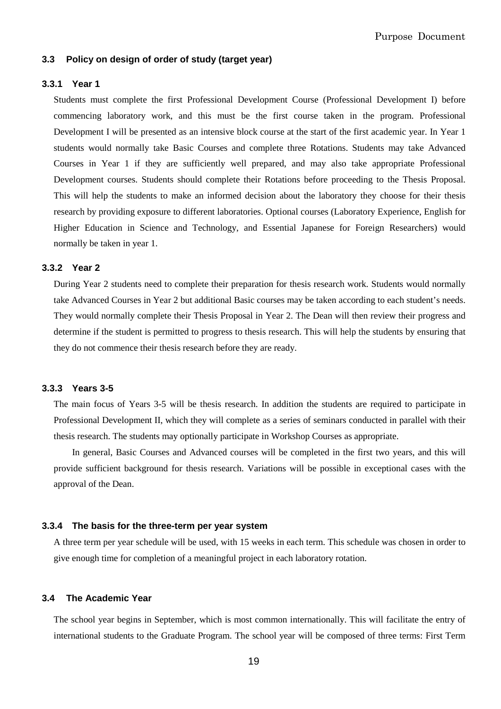## **3.3 Policy on design of order of study (target year)**

#### **3.3.1 Year 1**

Students must complete the first Professional Development Course (Professional Development I) before commencing laboratory work, and this must be the first course taken in the program. Professional Development I will be presented as an intensive block course at the start of the first academic year. In Year 1 students would normally take Basic Courses and complete three Rotations. Students may take Advanced Courses in Year 1 if they are sufficiently well prepared, and may also take appropriate Professional Development courses. Students should complete their Rotations before proceeding to the Thesis Proposal. This will help the students to make an informed decision about the laboratory they choose for their thesis research by providing exposure to different laboratories. Optional courses (Laboratory Experience, English for Higher Education in Science and Technology, and Essential Japanese for Foreign Researchers) would normally be taken in year 1.

## **3.3.2 Year 2**

During Year 2 students need to complete their preparation for thesis research work. Students would normally take Advanced Courses in Year 2 but additional Basic courses may be taken according to each student's needs. They would normally complete their Thesis Proposal in Year 2. The Dean will then review their progress and determine if the student is permitted to progress to thesis research. This will help the students by ensuring that they do not commence their thesis research before they are ready.

## **3.3.3 Years 3-5**

The main focus of Years 3-5 will be thesis research. In addition the students are required to participate in Professional Development II, which they will complete as a series of seminars conducted in parallel with their thesis research. The students may optionally participate in Workshop Courses as appropriate.

In general, Basic Courses and Advanced courses will be completed in the first two years, and this will provide sufficient background for thesis research. Variations will be possible in exceptional cases with the approval of the Dean.

#### **3.3.4 The basis for the three-term per year system**

A three term per year schedule will be used, with 15 weeks in each term. This schedule was chosen in order to give enough time for completion of a meaningful project in each laboratory rotation.

## **3.4 The Academic Year**

The school year begins in September, which is most common internationally. This will facilitate the entry of international students to the Graduate Program. The school year will be composed of three terms: First Term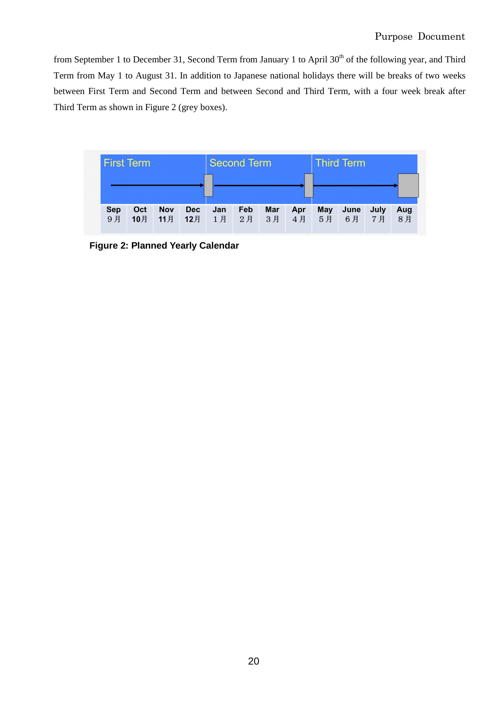from September 1 to December 31, Second Term from January 1 to April 30<sup>th</sup> of the following year, and Third Term from May 1 to August 31. In addition to Japanese national holidays there will be breaks of two weeks between First Term and Second Term and between Second and Third Term, with a four week break after Third Term as shown in Figure 2 (grey boxes).



**Figure 2: Planned Yearly Calendar**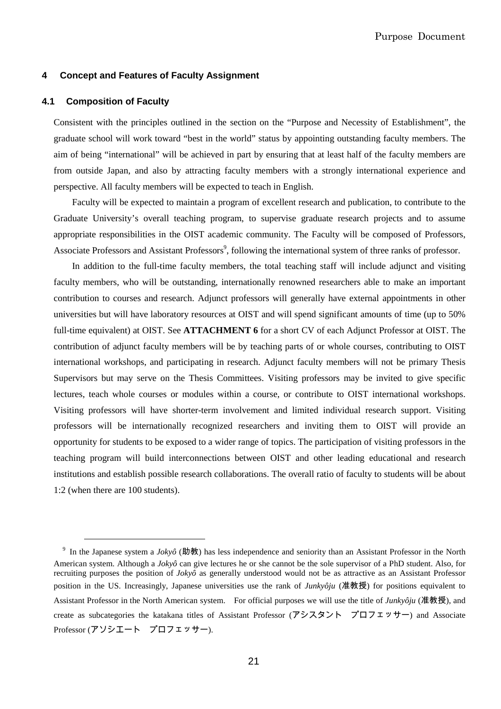#### **4 Concept and Features of Faculty Assignment**

## **4.1 Composition of Faculty**

 $\overline{a}$ 

Consistent with the principles outlined in the section on the "Purpose and Necessity of Establishment", the graduate school will work toward "best in the world" status by appointing outstanding faculty members. The aim of being "international" will be achieved in part by ensuring that at least half of the faculty members are from outside Japan, and also by attracting faculty members with a strongly international experience and perspective. All faculty members will be expected to teach in English.

Faculty will be expected to maintain a program of excellent research and publication, to contribute to the Graduate University's overall teaching program, to supervise graduate research projects and to assume appropriate responsibilities in the OIST academic community. The Faculty will be composed of Professors, Associate Professors and Assistant Professors<sup>9</sup>, following the international system of three ranks of professor.

In addition to the full-time faculty members, the total teaching staff will include adjunct and visiting faculty members, who will be outstanding, internationally renowned researchers able to make an important contribution to courses and research. Adjunct professors will generally have external appointments in other universities but will have laboratory resources at OIST and will spend significant amounts of time (up to 50% full-time equivalent) at OIST. See **ATTACHMENT 6** for a short CV of each Adjunct Professor at OIST. The contribution of adjunct faculty members will be by teaching parts of or whole courses, contributing to OIST international workshops, and participating in research. Adjunct faculty members will not be primary Thesis Supervisors but may serve on the Thesis Committees. Visiting professors may be invited to give specific lectures, teach whole courses or modules within a course, or contribute to OIST international workshops. Visiting professors will have shorter-term involvement and limited individual research support. Visiting professors will be internationally recognized researchers and inviting them to OIST will provide an opportunity for students to be exposed to a wider range of topics. The participation of visiting professors in the teaching program will build interconnections between OIST and other leading educational and research institutions and establish possible research collaborations. The overall ratio of faculty to students will be about 1:2 (when there are 100 students).

<sup>&</sup>lt;sup>9</sup> In the Japanese system a *Jokyô* (助教) has less independence and seniority than an Assistant Professor in the North American system. Although a *Jokyô* can give lectures he or she cannot be the sole supervisor of a PhD student. Also, for recruiting purposes the position of *Jokyô* as generally understood would not be as attractive as an Assistant Professor position in the US. Increasingly, Japanese universities use the rank of *Junkyôju* (准教授) for positions equivalent to Assistant Professor in the North American system. For official purposes we will use the title of *Junkyôju* (准教授), and create as subcategories the katakana titles of Assistant Professor (アシスタント プロフェッサー) and Associate Professor (アソシエート プロフェッサー).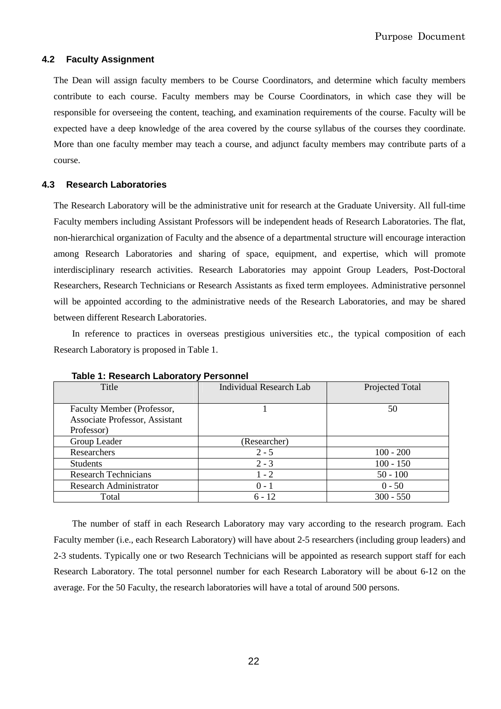## **4.2 Faculty Assignment**

The Dean will assign faculty members to be Course Coordinators, and determine which faculty members contribute to each course. Faculty members may be Course Coordinators, in which case they will be responsible for overseeing the content, teaching, and examination requirements of the course. Faculty will be expected have a deep knowledge of the area covered by the course syllabus of the courses they coordinate. More than one faculty member may teach a course, and adjunct faculty members may contribute parts of a course.

## **4.3 Research Laboratories**

The Research Laboratory will be the administrative unit for research at the Graduate University. All full-time Faculty members including Assistant Professors will be independent heads of Research Laboratories. The flat, non-hierarchical organization of Faculty and the absence of a departmental structure will encourage interaction among Research Laboratories and sharing of space, equipment, and expertise, which will promote interdisciplinary research activities. Research Laboratories may appoint Group Leaders, Post-Doctoral Researchers, Research Technicians or Research Assistants as fixed term employees. Administrative personnel will be appointed according to the administrative needs of the Research Laboratories, and may be shared between different Research Laboratories.

In reference to practices in overseas prestigious universities etc., the typical composition of each Research Laboratory is proposed in Table 1.

| Title                                 | <b>Individual Research Lab</b> | Projected Total |
|---------------------------------------|--------------------------------|-----------------|
|                                       |                                |                 |
| Faculty Member (Professor,            |                                | 50              |
| <b>Associate Professor, Assistant</b> |                                |                 |
| Professor)                            |                                |                 |
| Group Leader                          | (Researcher)                   |                 |
| Researchers                           | $2 - 5$                        | $100 - 200$     |
| <b>Students</b>                       | $2 - 3$                        | $100 - 150$     |
| <b>Research Technicians</b>           | $1 - 2$                        | $50 - 100$      |
| <b>Research Administrator</b>         | $0 - 1$                        | $0 - 50$        |
| Total                                 | $6 - 12$                       | $300 - 550$     |

**Table 1: Research Laboratory Personnel** 

The number of staff in each Research Laboratory may vary according to the research program. Each Faculty member (i.e., each Research Laboratory) will have about 2-5 researchers (including group leaders) and 2-3 students. Typically one or two Research Technicians will be appointed as research support staff for each Research Laboratory. The total personnel number for each Research Laboratory will be about 6-12 on the average. For the 50 Faculty, the research laboratories will have a total of around 500 persons.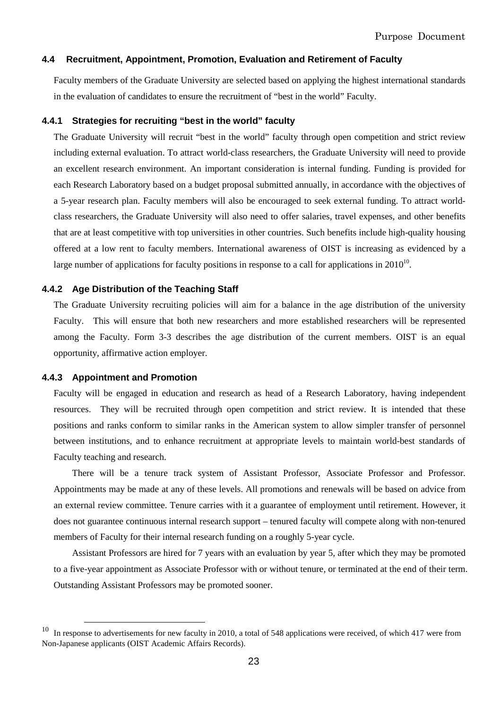## **4.4 Recruitment, Appointment, Promotion, Evaluation and Retirement of Faculty**

Faculty members of the Graduate University are selected based on applying the highest international standards in the evaluation of candidates to ensure the recruitment of "best in the world" Faculty.

## **4.4.1 Strategies for recruiting "best in the world" faculty**

The Graduate University will recruit "best in the world" faculty through open competition and strict review including external evaluation. To attract world-class researchers, the Graduate University will need to provide an excellent research environment. An important consideration is internal funding. Funding is provided for each Research Laboratory based on a budget proposal submitted annually, in accordance with the objectives of a 5-year research plan. Faculty members will also be encouraged to seek external funding. To attract worldclass researchers, the Graduate University will also need to offer salaries, travel expenses, and other benefits that are at least competitive with top universities in other countries. Such benefits include high-quality housing offered at a low rent to faculty members. International awareness of OIST is increasing as evidenced by a large number of applications for faculty positions in response to a call for applications in  $2010^{10}$ .

## **4.4.2 Age Distribution of the Teaching Staff**

The Graduate University recruiting policies will aim for a balance in the age distribution of the university Faculty. This will ensure that both new researchers and more established researchers will be represented among the Faculty. Form 3-3 describes the age distribution of the current members. OIST is an equal opportunity, affirmative action employer.

## **4.4.3 Appointment and Promotion**

 $\overline{a}$ 

Faculty will be engaged in education and research as head of a Research Laboratory, having independent resources. They will be recruited through open competition and strict review. It is intended that these positions and ranks conform to similar ranks in the American system to allow simpler transfer of personnel between institutions, and to enhance recruitment at appropriate levels to maintain world-best standards of Faculty teaching and research.

There will be a tenure track system of Assistant Professor, Associate Professor and Professor. Appointments may be made at any of these levels. All promotions and renewals will be based on advice from an external review committee. Tenure carries with it a guarantee of employment until retirement. However, it does not guarantee continuous internal research support – tenured faculty will compete along with non-tenured members of Faculty for their internal research funding on a roughly 5-year cycle.

Assistant Professors are hired for 7 years with an evaluation by year 5, after which they may be promoted to a five-year appointment as Associate Professor with or without tenure, or terminated at the end of their term. Outstanding Assistant Professors may be promoted sooner.

In response to advertisements for new faculty in 2010, a total of 548 applications were received, of which 417 were from Non-Japanese applicants (OIST Academic Affairs Records).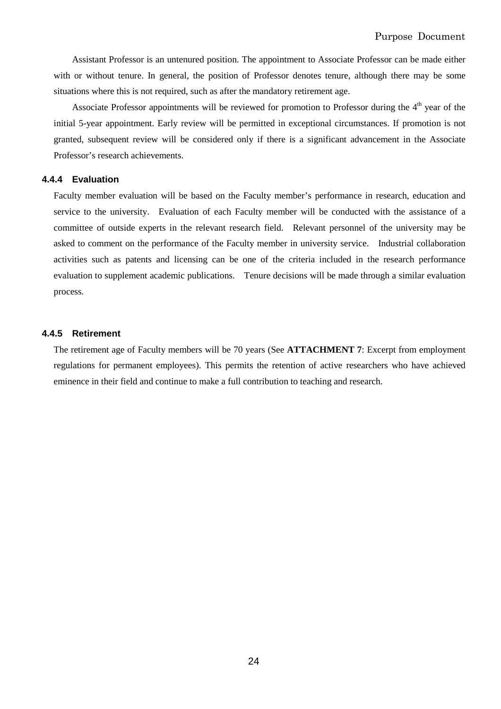Assistant Professor is an untenured position. The appointment to Associate Professor can be made either with or without tenure. In general, the position of Professor denotes tenure, although there may be some situations where this is not required, such as after the mandatory retirement age.

Associate Professor appointments will be reviewed for promotion to Professor during the  $4<sup>th</sup>$  year of the initial 5-year appointment. Early review will be permitted in exceptional circumstances. If promotion is not granted, subsequent review will be considered only if there is a significant advancement in the Associate Professor's research achievements.

## **4.4.4 Evaluation**

Faculty member evaluation will be based on the Faculty member's performance in research, education and service to the university. Evaluation of each Faculty member will be conducted with the assistance of a committee of outside experts in the relevant research field. Relevant personnel of the university may be asked to comment on the performance of the Faculty member in university service. Industrial collaboration activities such as patents and licensing can be one of the criteria included in the research performance evaluation to supplement academic publications. Tenure decisions will be made through a similar evaluation process.

## **4.4.5 Retirement**

The retirement age of Faculty members will be 70 years (See **ATTACHMENT 7**: Excerpt from employment regulations for permanent employees). This permits the retention of active researchers who have achieved eminence in their field and continue to make a full contribution to teaching and research.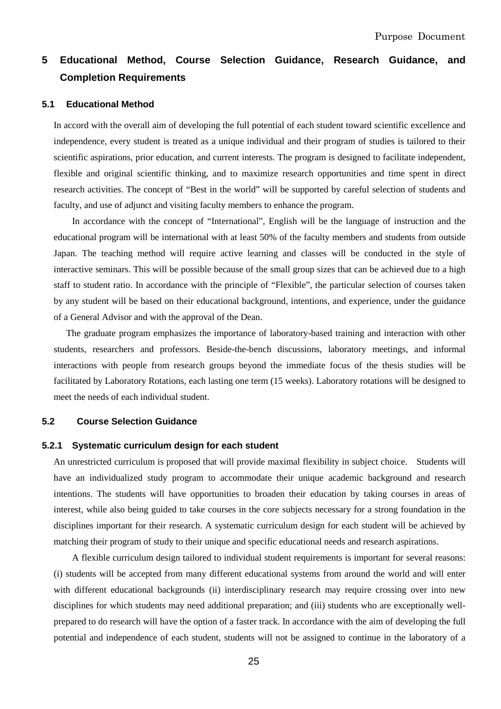## **5 Educational Method, Course Selection Guidance, Research Guidance, and Completion Requirements**

#### **5.1 Educational Method**

In accord with the overall aim of developing the full potential of each student toward scientific excellence and independence, every student is treated as a unique individual and their program of studies is tailored to their scientific aspirations, prior education, and current interests. The program is designed to facilitate independent, flexible and original scientific thinking, and to maximize research opportunities and time spent in direct research activities. The concept of "Best in the world" will be supported by careful selection of students and faculty, and use of adjunct and visiting faculty members to enhance the program.

 In accordance with the concept of "International", English will be the language of instruction and the educational program will be international with at least 50% of the faculty members and students from outside Japan. The teaching method will require active learning and classes will be conducted in the style of interactive seminars. This will be possible because of the small group sizes that can be achieved due to a high staff to student ratio. In accordance with the principle of "Flexible", the particular selection of courses taken by any student will be based on their educational background, intentions, and experience, under the guidance of a General Advisor and with the approval of the Dean.

The graduate program emphasizes the importance of laboratory-based training and interaction with other students, researchers and professors. Beside-the-bench discussions, laboratory meetings, and informal interactions with people from research groups beyond the immediate focus of the thesis studies will be facilitated by Laboratory Rotations, each lasting one term (15 weeks). Laboratory rotations will be designed to meet the needs of each individual student.

## **5.2 Course Selection Guidance**

#### **5.2.1 Systematic curriculum design for each student**

An unrestricted curriculum is proposed that will provide maximal flexibility in subject choice. Students will have an individualized study program to accommodate their unique academic background and research intentions. The students will have opportunities to broaden their education by taking courses in areas of interest, while also being guided to take courses in the core subjects necessary for a strong foundation in the disciplines important for their research. A systematic curriculum design for each student will be achieved by matching their program of study to their unique and specific educational needs and research aspirations.

A flexible curriculum design tailored to individual student requirements is important for several reasons: (i) students will be accepted from many different educational systems from around the world and will enter with different educational backgrounds (ii) interdisciplinary research may require crossing over into new disciplines for which students may need additional preparation; and (iii) students who are exceptionally wellprepared to do research will have the option of a faster track. In accordance with the aim of developing the full potential and independence of each student, students will not be assigned to continue in the laboratory of a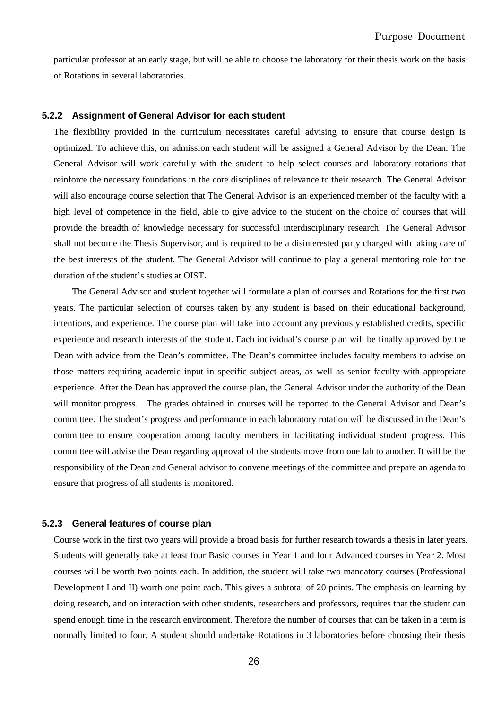particular professor at an early stage, but will be able to choose the laboratory for their thesis work on the basis of Rotations in several laboratories.

## **5.2.2 Assignment of General Advisor for each student**

The flexibility provided in the curriculum necessitates careful advising to ensure that course design is optimized. To achieve this, on admission each student will be assigned a General Advisor by the Dean. The General Advisor will work carefully with the student to help select courses and laboratory rotations that reinforce the necessary foundations in the core disciplines of relevance to their research. The General Advisor will also encourage course selection that The General Advisor is an experienced member of the faculty with a high level of competence in the field, able to give advice to the student on the choice of courses that will provide the breadth of knowledge necessary for successful interdisciplinary research. The General Advisor shall not become the Thesis Supervisor, and is required to be a disinterested party charged with taking care of the best interests of the student. The General Advisor will continue to play a general mentoring role for the duration of the student's studies at OIST.

The General Advisor and student together will formulate a plan of courses and Rotations for the first two years. The particular selection of courses taken by any student is based on their educational background, intentions, and experience. The course plan will take into account any previously established credits, specific experience and research interests of the student. Each individual's course plan will be finally approved by the Dean with advice from the Dean's committee. The Dean's committee includes faculty members to advise on those matters requiring academic input in specific subject areas, as well as senior faculty with appropriate experience. After the Dean has approved the course plan, the General Advisor under the authority of the Dean will monitor progress. The grades obtained in courses will be reported to the General Advisor and Dean's committee. The student's progress and performance in each laboratory rotation will be discussed in the Dean's committee to ensure cooperation among faculty members in facilitating individual student progress. This committee will advise the Dean regarding approval of the students move from one lab to another. It will be the responsibility of the Dean and General advisor to convene meetings of the committee and prepare an agenda to ensure that progress of all students is monitored.

## **5.2.3 General features of course plan**

Course work in the first two years will provide a broad basis for further research towards a thesis in later years. Students will generally take at least four Basic courses in Year 1 and four Advanced courses in Year 2. Most courses will be worth two points each. In addition, the student will take two mandatory courses (Professional Development I and II) worth one point each. This gives a subtotal of 20 points. The emphasis on learning by doing research, and on interaction with other students, researchers and professors, requires that the student can spend enough time in the research environment. Therefore the number of courses that can be taken in a term is normally limited to four. A student should undertake Rotations in 3 laboratories before choosing their thesis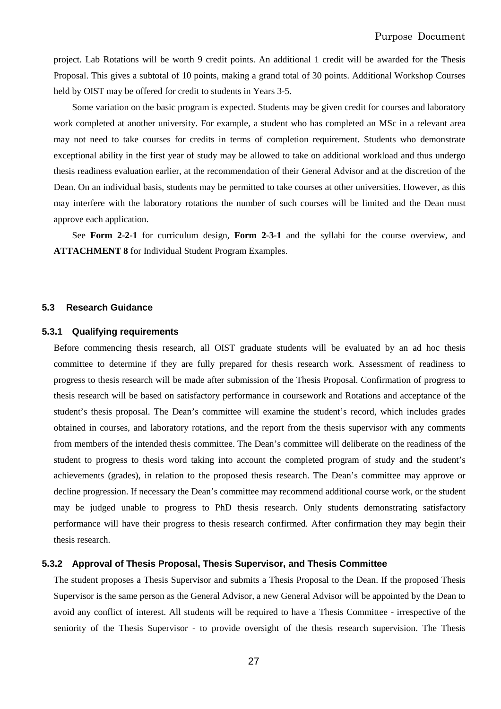project. Lab Rotations will be worth 9 credit points. An additional 1 credit will be awarded for the Thesis Proposal. This gives a subtotal of 10 points, making a grand total of 30 points. Additional Workshop Courses held by OIST may be offered for credit to students in Years 3-5.

Some variation on the basic program is expected. Students may be given credit for courses and laboratory work completed at another university. For example, a student who has completed an MSc in a relevant area may not need to take courses for credits in terms of completion requirement. Students who demonstrate exceptional ability in the first year of study may be allowed to take on additional workload and thus undergo thesis readiness evaluation earlier, at the recommendation of their General Advisor and at the discretion of the Dean. On an individual basis, students may be permitted to take courses at other universities. However, as this may interfere with the laboratory rotations the number of such courses will be limited and the Dean must approve each application.

See **Form 2-2-1** for curriculum design, **Form 2-3-1** and the syllabi for the course overview, and **ATTACHMENT 8** for Individual Student Program Examples.

#### **5.3 Research Guidance**

## **5.3.1 Qualifying requirements**

Before commencing thesis research, all OIST graduate students will be evaluated by an ad hoc thesis committee to determine if they are fully prepared for thesis research work. Assessment of readiness to progress to thesis research will be made after submission of the Thesis Proposal. Confirmation of progress to thesis research will be based on satisfactory performance in coursework and Rotations and acceptance of the student's thesis proposal. The Dean's committee will examine the student's record, which includes grades obtained in courses, and laboratory rotations, and the report from the thesis supervisor with any comments from members of the intended thesis committee. The Dean's committee will deliberate on the readiness of the student to progress to thesis word taking into account the completed program of study and the student's achievements (grades), in relation to the proposed thesis research. The Dean's committee may approve or decline progression. If necessary the Dean's committee may recommend additional course work, or the student may be judged unable to progress to PhD thesis research. Only students demonstrating satisfactory performance will have their progress to thesis research confirmed. After confirmation they may begin their thesis research.

#### **5.3.2 Approval of Thesis Proposal, Thesis Supervisor, and Thesis Committee**

The student proposes a Thesis Supervisor and submits a Thesis Proposal to the Dean. If the proposed Thesis Supervisor is the same person as the General Advisor, a new General Advisor will be appointed by the Dean to avoid any conflict of interest. All students will be required to have a Thesis Committee - irrespective of the seniority of the Thesis Supervisor - to provide oversight of the thesis research supervision. The Thesis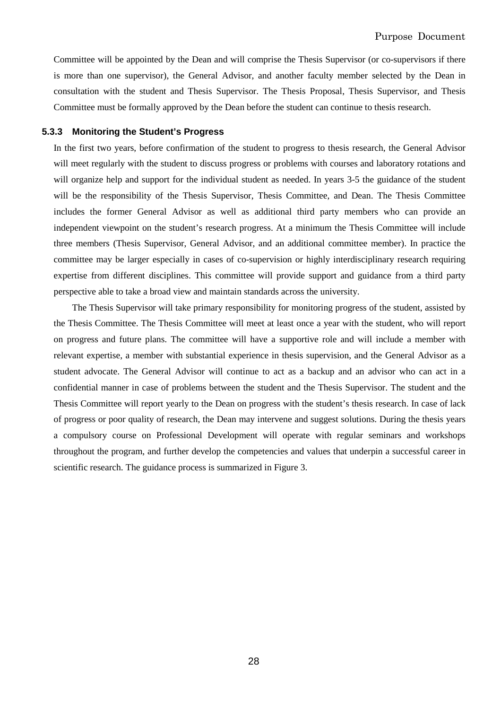Committee will be appointed by the Dean and will comprise the Thesis Supervisor (or co-supervisors if there is more than one supervisor), the General Advisor, and another faculty member selected by the Dean in consultation with the student and Thesis Supervisor. The Thesis Proposal, Thesis Supervisor, and Thesis Committee must be formally approved by the Dean before the student can continue to thesis research.

#### **5.3.3 Monitoring the Student's Progress**

In the first two years, before confirmation of the student to progress to thesis research, the General Advisor will meet regularly with the student to discuss progress or problems with courses and laboratory rotations and will organize help and support for the individual student as needed. In years 3-5 the guidance of the student will be the responsibility of the Thesis Supervisor, Thesis Committee, and Dean. The Thesis Committee includes the former General Advisor as well as additional third party members who can provide an independent viewpoint on the student's research progress. At a minimum the Thesis Committee will include three members (Thesis Supervisor, General Advisor, and an additional committee member). In practice the committee may be larger especially in cases of co-supervision or highly interdisciplinary research requiring expertise from different disciplines. This committee will provide support and guidance from a third party perspective able to take a broad view and maintain standards across the university.

The Thesis Supervisor will take primary responsibility for monitoring progress of the student, assisted by the Thesis Committee. The Thesis Committee will meet at least once a year with the student, who will report on progress and future plans. The committee will have a supportive role and will include a member with relevant expertise, a member with substantial experience in thesis supervision, and the General Advisor as a student advocate. The General Advisor will continue to act as a backup and an advisor who can act in a confidential manner in case of problems between the student and the Thesis Supervisor. The student and the Thesis Committee will report yearly to the Dean on progress with the student's thesis research. In case of lack of progress or poor quality of research, the Dean may intervene and suggest solutions. During the thesis years a compulsory course on Professional Development will operate with regular seminars and workshops throughout the program, and further develop the competencies and values that underpin a successful career in scientific research. The guidance process is summarized in Figure 3.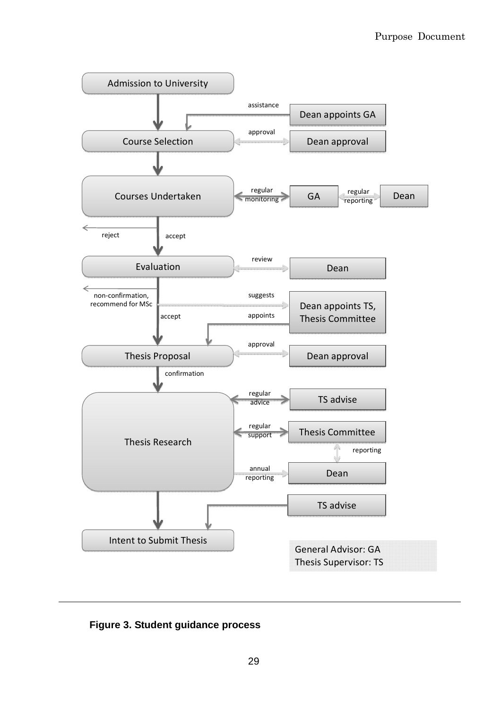

**Figure 3. Student guidance process**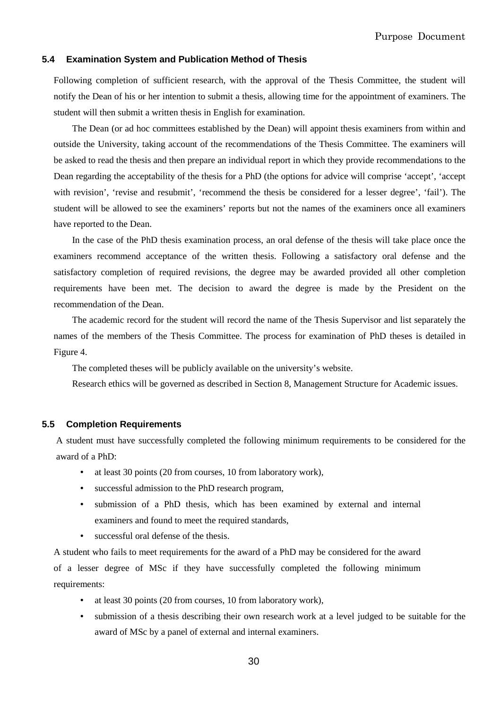## **5.4 Examination System and Publication Method of Thesis**

Following completion of sufficient research, with the approval of the Thesis Committee, the student will notify the Dean of his or her intention to submit a thesis, allowing time for the appointment of examiners. The student will then submit a written thesis in English for examination.

The Dean (or ad hoc committees established by the Dean) will appoint thesis examiners from within and outside the University, taking account of the recommendations of the Thesis Committee. The examiners will be asked to read the thesis and then prepare an individual report in which they provide recommendations to the Dean regarding the acceptability of the thesis for a PhD (the options for advice will comprise 'accept', 'accept with revision', 'revise and resubmit', 'recommend the thesis be considered for a lesser degree', 'fail'). The student will be allowed to see the examiners' reports but not the names of the examiners once all examiners have reported to the Dean.

In the case of the PhD thesis examination process, an oral defense of the thesis will take place once the examiners recommend acceptance of the written thesis. Following a satisfactory oral defense and the satisfactory completion of required revisions, the degree may be awarded provided all other completion requirements have been met. The decision to award the degree is made by the President on the recommendation of the Dean.

The academic record for the student will record the name of the Thesis Supervisor and list separately the names of the members of the Thesis Committee. The process for examination of PhD theses is detailed in Figure 4.

The completed theses will be publicly available on the university's website.

Research ethics will be governed as described in Section 8, Management Structure for Academic issues.

#### **5.5 Completion Requirements**

A student must have successfully completed the following minimum requirements to be considered for the award of a PhD:

- at least 30 points (20 from courses, 10 from laboratory work),
- successful admission to the PhD research program,
- submission of a PhD thesis, which has been examined by external and internal examiners and found to meet the required standards,
- successful oral defense of the thesis.

A student who fails to meet requirements for the award of a PhD may be considered for the award of a lesser degree of MSc if they have successfully completed the following minimum requirements:

- at least 30 points (20 from courses, 10 from laboratory work),
- submission of a thesis describing their own research work at a level judged to be suitable for the award of MSc by a panel of external and internal examiners.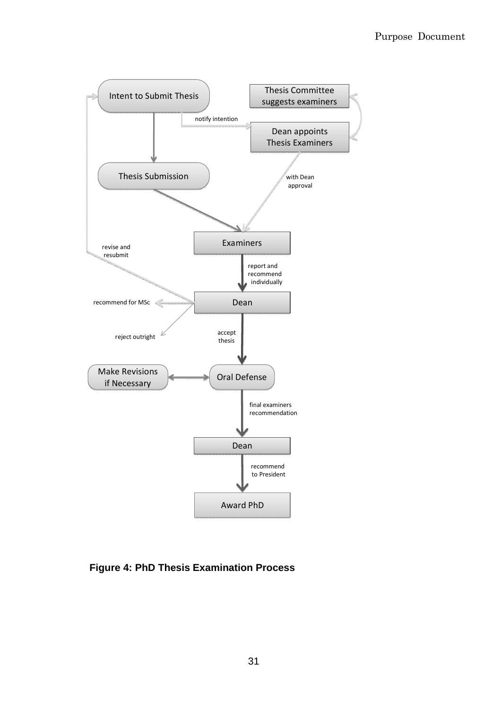

**Figure 4: PhD Thesis Examination Process**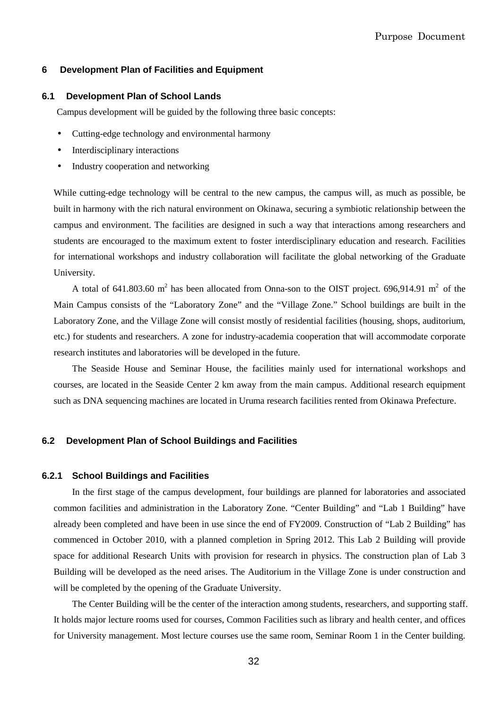## **6 Development Plan of Facilities and Equipment**

#### **6.1 Development Plan of School Lands**

Campus development will be guided by the following three basic concepts:

- Cutting-edge technology and environmental harmony
- Interdisciplinary interactions
- Industry cooperation and networking

While cutting-edge technology will be central to the new campus, the campus will, as much as possible, be built in harmony with the rich natural environment on Okinawa, securing a symbiotic relationship between the campus and environment. The facilities are designed in such a way that interactions among researchers and students are encouraged to the maximum extent to foster interdisciplinary education and research. Facilities for international workshops and industry collaboration will facilitate the global networking of the Graduate University.

A total of 641.803.60 m<sup>2</sup> has been allocated from Onna-son to the OIST project. 696,914.91 m<sup>2</sup> of the Main Campus consists of the "Laboratory Zone" and the "Village Zone." School buildings are built in the Laboratory Zone, and the Village Zone will consist mostly of residential facilities (housing, shops, auditorium, etc.) for students and researchers. A zone for industry-academia cooperation that will accommodate corporate research institutes and laboratories will be developed in the future.

The Seaside House and Seminar House, the facilities mainly used for international workshops and courses, are located in the Seaside Center 2 km away from the main campus. Additional research equipment such as DNA sequencing machines are located in Uruma research facilities rented from Okinawa Prefecture.

## **6.2 Development Plan of School Buildings and Facilities**

#### **6.2.1 School Buildings and Facilities**

In the first stage of the campus development, four buildings are planned for laboratories and associated common facilities and administration in the Laboratory Zone. "Center Building" and "Lab 1 Building" have already been completed and have been in use since the end of FY2009. Construction of "Lab 2 Building" has commenced in October 2010, with a planned completion in Spring 2012. This Lab 2 Building will provide space for additional Research Units with provision for research in physics. The construction plan of Lab 3 Building will be developed as the need arises. The Auditorium in the Village Zone is under construction and will be completed by the opening of the Graduate University.

The Center Building will be the center of the interaction among students, researchers, and supporting staff. It holds major lecture rooms used for courses, Common Facilities such as library and health center, and offices for University management. Most lecture courses use the same room, Seminar Room 1 in the Center building.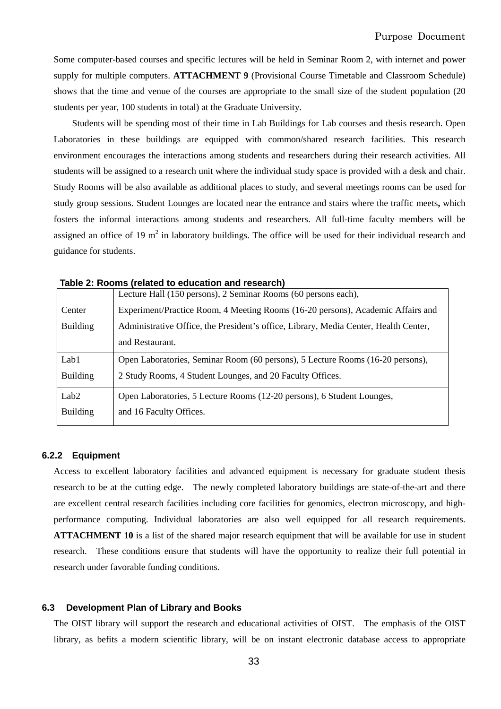Some computer-based courses and specific lectures will be held in Seminar Room 2, with internet and power supply for multiple computers. **ATTACHMENT 9** (Provisional Course Timetable and Classroom Schedule) shows that the time and venue of the courses are appropriate to the small size of the student population (20 students per year, 100 students in total) at the Graduate University.

Students will be spending most of their time in Lab Buildings for Lab courses and thesis research. Open Laboratories in these buildings are equipped with common/shared research facilities. This research environment encourages the interactions among students and researchers during their research activities. All students will be assigned to a research unit where the individual study space is provided with a desk and chair. Study Rooms will be also available as additional places to study, and several meetings rooms can be used for study group sessions. Student Lounges are located near the entrance and stairs where the traffic meets**,** which fosters the informal interactions among students and researchers. All full-time faculty members will be assigned an office of 19  $m^2$  in laboratory buildings. The office will be used for their individual research and guidance for students.

|                  | Lecture Hall (150 persons), 2 Seminar Rooms (60 persons each),                       |  |  |
|------------------|--------------------------------------------------------------------------------------|--|--|
| Center           | Experiment/Practice Room, 4 Meeting Rooms (16-20 persons), Academic Affairs and      |  |  |
| <b>Building</b>  | Administrative Office, the President's office, Library, Media Center, Health Center, |  |  |
|                  | and Restaurant.                                                                      |  |  |
| Lab1             | Open Laboratories, Seminar Room (60 persons), 5 Lecture Rooms (16-20 persons),       |  |  |
| <b>Building</b>  | 2 Study Rooms, 4 Student Lounges, and 20 Faculty Offices.                            |  |  |
| Lab <sub>2</sub> | Open Laboratories, 5 Lecture Rooms (12-20 persons), 6 Student Lounges,               |  |  |
| <b>Building</b>  | and 16 Faculty Offices.                                                              |  |  |
|                  |                                                                                      |  |  |

## **6.2.2 Equipment**

Access to excellent laboratory facilities and advanced equipment is necessary for graduate student thesis research to be at the cutting edge. The newly completed laboratory buildings are state-of-the-art and there are excellent central research facilities including core facilities for genomics, electron microscopy, and highperformance computing. Individual laboratories are also well equipped for all research requirements. **ATTACHMENT 10** is a list of the shared major research equipment that will be available for use in student research. These conditions ensure that students will have the opportunity to realize their full potential in research under favorable funding conditions.

#### **6.3 Development Plan of Library and Books**

The OIST library will support the research and educational activities of OIST. The emphasis of the OIST library, as befits a modern scientific library, will be on instant electronic database access to appropriate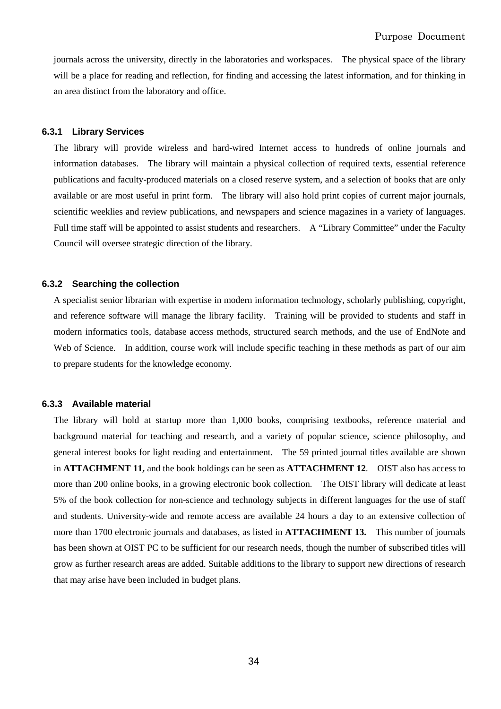journals across the university, directly in the laboratories and workspaces. The physical space of the library will be a place for reading and reflection, for finding and accessing the latest information, and for thinking in an area distinct from the laboratory and office.

#### **6.3.1 Library Services**

The library will provide wireless and hard-wired Internet access to hundreds of online journals and information databases. The library will maintain a physical collection of required texts, essential reference publications and faculty-produced materials on a closed reserve system, and a selection of books that are only available or are most useful in print form. The library will also hold print copies of current major journals, scientific weeklies and review publications, and newspapers and science magazines in a variety of languages. Full time staff will be appointed to assist students and researchers. A "Library Committee" under the Faculty Council will oversee strategic direction of the library.

## **6.3.2 Searching the collection**

A specialist senior librarian with expertise in modern information technology, scholarly publishing, copyright, and reference software will manage the library facility. Training will be provided to students and staff in modern informatics tools, database access methods, structured search methods, and the use of EndNote and Web of Science. In addition, course work will include specific teaching in these methods as part of our aim to prepare students for the knowledge economy.

#### **6.3.3 Available material**

The library will hold at startup more than 1,000 books, comprising textbooks, reference material and background material for teaching and research, and a variety of popular science, science philosophy, and general interest books for light reading and entertainment. The 59 printed journal titles available are shown in **ATTACHMENT 11,** and the book holdings can be seen as **ATTACHMENT 12**. OIST also has access to more than 200 online books, in a growing electronic book collection. The OIST library will dedicate at least 5% of the book collection for non-science and technology subjects in different languages for the use of staff and students. University-wide and remote access are available 24 hours a day to an extensive collection of more than 1700 electronic journals and databases, as listed in **ATTACHMENT 13.** This number of journals has been shown at OIST PC to be sufficient for our research needs, though the number of subscribed titles will grow as further research areas are added. Suitable additions to the library to support new directions of research that may arise have been included in budget plans.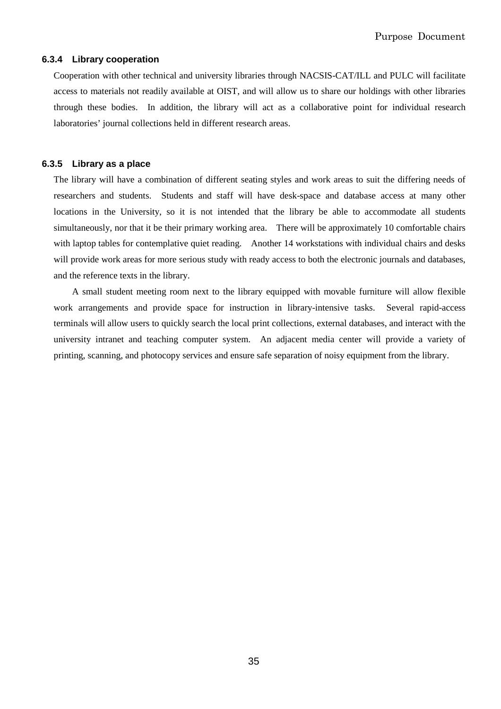## **6.3.4 Library cooperation**

Cooperation with other technical and university libraries through NACSIS-CAT/ILL and PULC will facilitate access to materials not readily available at OIST, and will allow us to share our holdings with other libraries through these bodies. In addition, the library will act as a collaborative point for individual research laboratories' journal collections held in different research areas.

## **6.3.5 Library as a place**

The library will have a combination of different seating styles and work areas to suit the differing needs of researchers and students. Students and staff will have desk-space and database access at many other locations in the University, so it is not intended that the library be able to accommodate all students simultaneously, nor that it be their primary working area. There will be approximately 10 comfortable chairs with laptop tables for contemplative quiet reading. Another 14 workstations with individual chairs and desks will provide work areas for more serious study with ready access to both the electronic journals and databases, and the reference texts in the library.

A small student meeting room next to the library equipped with movable furniture will allow flexible work arrangements and provide space for instruction in library-intensive tasks. Several rapid-access terminals will allow users to quickly search the local print collections, external databases, and interact with the university intranet and teaching computer system. An adjacent media center will provide a variety of printing, scanning, and photocopy services and ensure safe separation of noisy equipment from the library.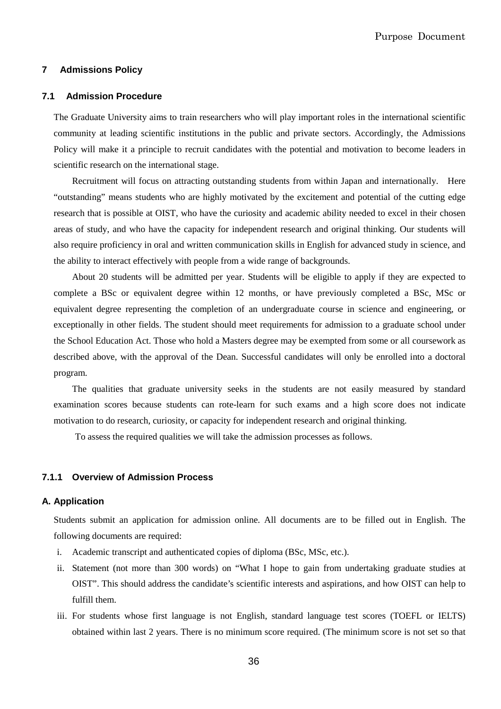## **7 Admissions Policy**

## **7.1 Admission Procedure**

The Graduate University aims to train researchers who will play important roles in the international scientific community at leading scientific institutions in the public and private sectors. Accordingly, the Admissions Policy will make it a principle to recruit candidates with the potential and motivation to become leaders in scientific research on the international stage.

Recruitment will focus on attracting outstanding students from within Japan and internationally. Here "outstanding" means students who are highly motivated by the excitement and potential of the cutting edge research that is possible at OIST, who have the curiosity and academic ability needed to excel in their chosen areas of study, and who have the capacity for independent research and original thinking. Our students will also require proficiency in oral and written communication skills in English for advanced study in science, and the ability to interact effectively with people from a wide range of backgrounds.

About 20 students will be admitted per year. Students will be eligible to apply if they are expected to complete a BSc or equivalent degree within 12 months, or have previously completed a BSc, MSc or equivalent degree representing the completion of an undergraduate course in science and engineering, or exceptionally in other fields. The student should meet requirements for admission to a graduate school under the School Education Act. Those who hold a Masters degree may be exempted from some or all coursework as described above, with the approval of the Dean. Successful candidates will only be enrolled into a doctoral program.

The qualities that graduate university seeks in the students are not easily measured by standard examination scores because students can rote-learn for such exams and a high score does not indicate motivation to do research, curiosity, or capacity for independent research and original thinking.

To assess the required qualities we will take the admission processes as follows.

## **7.1.1 Overview of Admission Process**

## **A. Application**

Students submit an application for admission online. All documents are to be filled out in English. The following documents are required:

- i. Academic transcript and authenticated copies of diploma (BSc, MSc, etc.).
- ii. Statement (not more than 300 words) on "What I hope to gain from undertaking graduate studies at OIST". This should address the candidate's scientific interests and aspirations, and how OIST can help to fulfill them.
- iii. For students whose first language is not English, standard language test scores (TOEFL or IELTS) obtained within last 2 years. There is no minimum score required. (The minimum score is not set so that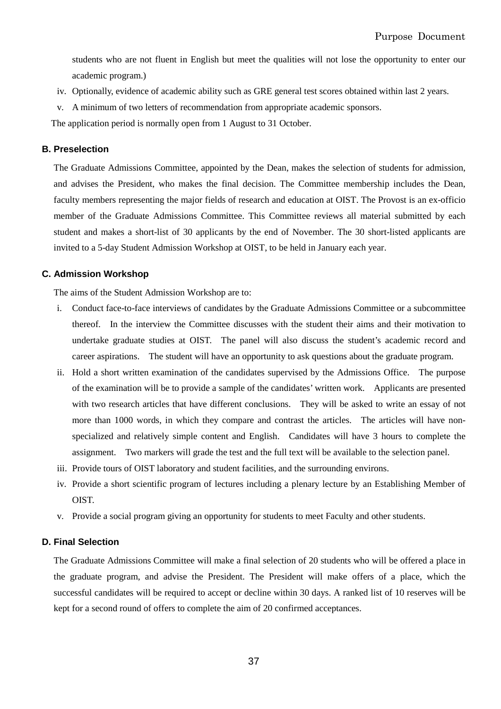students who are not fluent in English but meet the qualities will not lose the opportunity to enter our academic program.)

- iv. Optionally, evidence of academic ability such as GRE general test scores obtained within last 2 years.
- v. A minimum of two letters of recommendation from appropriate academic sponsors.

The application period is normally open from 1 August to 31 October.

## **B. Preselection**

The Graduate Admissions Committee, appointed by the Dean, makes the selection of students for admission, and advises the President, who makes the final decision. The Committee membership includes the Dean, faculty members representing the major fields of research and education at OIST. The Provost is an ex-officio member of the Graduate Admissions Committee. This Committee reviews all material submitted by each student and makes a short-list of 30 applicants by the end of November. The 30 short-listed applicants are invited to a 5-day Student Admission Workshop at OIST, to be held in January each year.

## **C. Admission Workshop**

The aims of the Student Admission Workshop are to:

- i. Conduct face-to-face interviews of candidates by the Graduate Admissions Committee or a subcommittee thereof. In the interview the Committee discusses with the student their aims and their motivation to undertake graduate studies at OIST. The panel will also discuss the student's academic record and career aspirations. The student will have an opportunity to ask questions about the graduate program.
- ii. Hold a short written examination of the candidates supervised by the Admissions Office. The purpose of the examination will be to provide a sample of the candidates' written work. Applicants are presented with two research articles that have different conclusions. They will be asked to write an essay of not more than 1000 words, in which they compare and contrast the articles. The articles will have nonspecialized and relatively simple content and English. Candidates will have 3 hours to complete the assignment. Two markers will grade the test and the full text will be available to the selection panel.
- iii. Provide tours of OIST laboratory and student facilities, and the surrounding environs.
- iv. Provide a short scientific program of lectures including a plenary lecture by an Establishing Member of OIST.
- v. Provide a social program giving an opportunity for students to meet Faculty and other students.

## **D. Final Selection**

The Graduate Admissions Committee will make a final selection of 20 students who will be offered a place in the graduate program, and advise the President. The President will make offers of a place, which the successful candidates will be required to accept or decline within 30 days. A ranked list of 10 reserves will be kept for a second round of offers to complete the aim of 20 confirmed acceptances.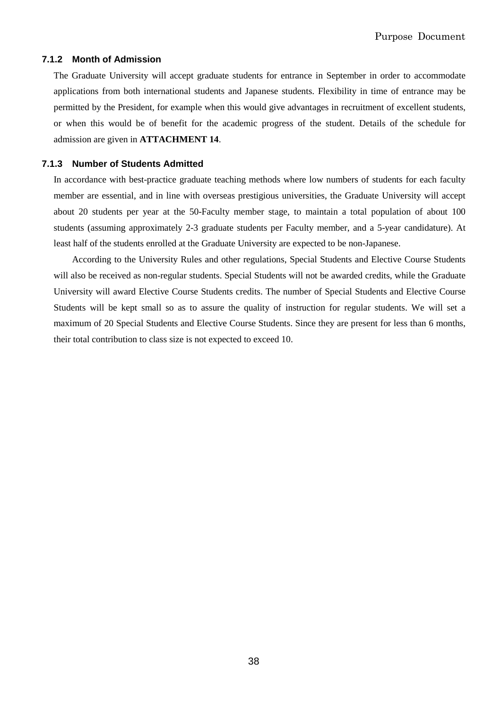## **7.1.2 Month of Admission**

The Graduate University will accept graduate students for entrance in September in order to accommodate applications from both international students and Japanese students. Flexibility in time of entrance may be permitted by the President, for example when this would give advantages in recruitment of excellent students, or when this would be of benefit for the academic progress of the student. Details of the schedule for admission are given in **ATTACHMENT 14**.

## **7.1.3 Number of Students Admitted**

In accordance with best-practice graduate teaching methods where low numbers of students for each faculty member are essential, and in line with overseas prestigious universities, the Graduate University will accept about 20 students per year at the 50-Faculty member stage, to maintain a total population of about 100 students (assuming approximately 2-3 graduate students per Faculty member, and a 5-year candidature). At least half of the students enrolled at the Graduate University are expected to be non-Japanese.

According to the University Rules and other regulations, Special Students and Elective Course Students will also be received as non-regular students. Special Students will not be awarded credits, while the Graduate University will award Elective Course Students credits. The number of Special Students and Elective Course Students will be kept small so as to assure the quality of instruction for regular students. We will set a maximum of 20 Special Students and Elective Course Students. Since they are present for less than 6 months, their total contribution to class size is not expected to exceed 10.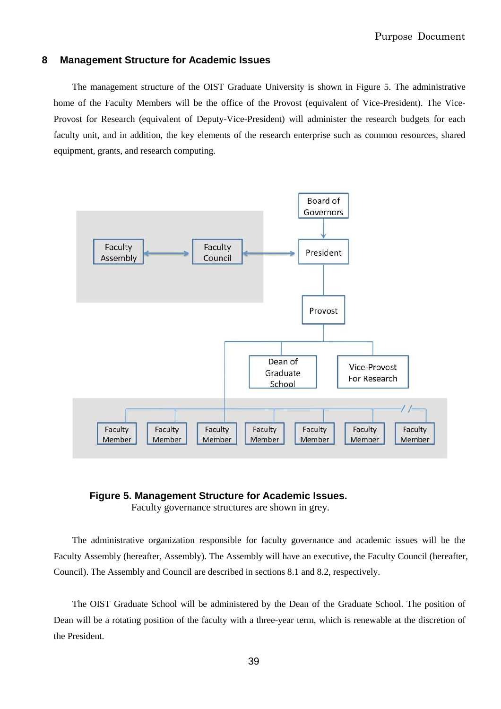## **8 Management Structure for Academic Issues**

The management structure of the OIST Graduate University is shown in Figure 5. The administrative home of the Faculty Members will be the office of the Provost (equivalent of Vice-President). The Vice-Provost for Research (equivalent of Deputy-Vice-President) will administer the research budgets for each faculty unit, and in addition, the key elements of the research enterprise such as common resources, shared equipment, grants, and research computing.



## **Figure 5. Management Structure for Academic Issues.**

Faculty governance structures are shown in grey.

The administrative organization responsible for faculty governance and academic issues will be the Faculty Assembly (hereafter, Assembly). The Assembly will have an executive, the Faculty Council (hereafter, Council). The Assembly and Council are described in sections 8.1 and 8.2, respectively.

The OIST Graduate School will be administered by the Dean of the Graduate School. The position of Dean will be a rotating position of the faculty with a three-year term, which is renewable at the discretion of the President.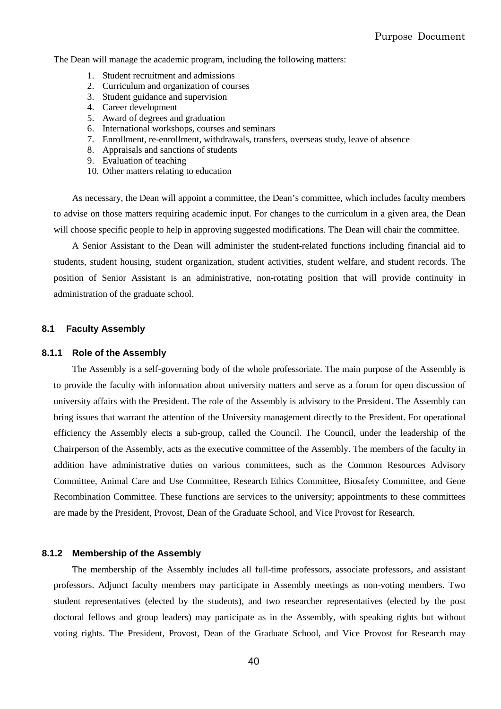The Dean will manage the academic program, including the following matters:

- 1. Student recruitment and admissions
- 2. Curriculum and organization of courses
- 3. Student guidance and supervision
- 4. Career development
- 5. Award of degrees and graduation
- 6. International workshops, courses and seminars
- 7. Enrollment, re-enrollment, withdrawals, transfers, overseas study, leave of absence
- 8. Appraisals and sanctions of students
- 9. Evaluation of teaching
- 10. Other matters relating to education

As necessary, the Dean will appoint a committee, the Dean's committee, which includes faculty members to advise on those matters requiring academic input. For changes to the curriculum in a given area, the Dean will choose specific people to help in approving suggested modifications. The Dean will chair the committee.

A Senior Assistant to the Dean will administer the student-related functions including financial aid to students, student housing, student organization, student activities, student welfare, and student records. The position of Senior Assistant is an administrative, non-rotating position that will provide continuity in administration of the graduate school.

## **8.1 Faculty Assembly**

#### **8.1.1 Role of the Assembly**

The Assembly is a self-governing body of the whole professoriate. The main purpose of the Assembly is to provide the faculty with information about university matters and serve as a forum for open discussion of university affairs with the President. The role of the Assembly is advisory to the President. The Assembly can bring issues that warrant the attention of the University management directly to the President. For operational efficiency the Assembly elects a sub-group, called the Council. The Council, under the leadership of the Chairperson of the Assembly, acts as the executive committee of the Assembly. The members of the faculty in addition have administrative duties on various committees, such as the Common Resources Advisory Committee, Animal Care and Use Committee, Research Ethics Committee, Biosafety Committee, and Gene Recombination Committee. These functions are services to the university; appointments to these committees are made by the President, Provost, Dean of the Graduate School, and Vice Provost for Research.

#### **8.1.2 Membership of the Assembly**

The membership of the Assembly includes all full-time professors, associate professors, and assistant professors. Adjunct faculty members may participate in Assembly meetings as non-voting members. Two student representatives (elected by the students), and two researcher representatives (elected by the post doctoral fellows and group leaders) may participate as in the Assembly, with speaking rights but without voting rights. The President, Provost, Dean of the Graduate School, and Vice Provost for Research may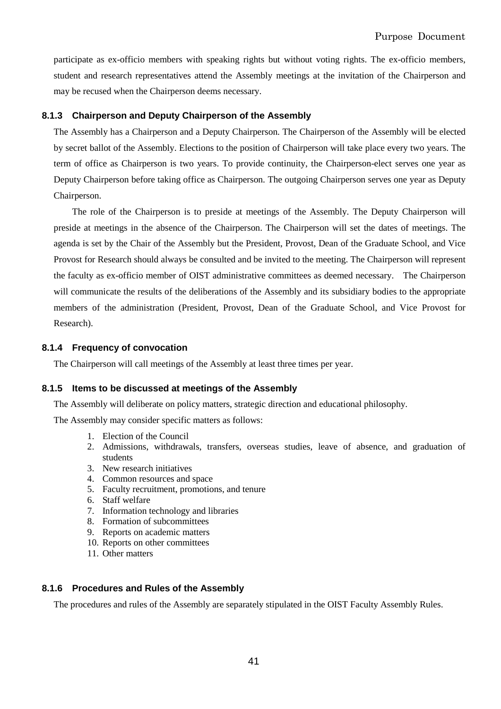participate as ex-officio members with speaking rights but without voting rights. The ex-officio members, student and research representatives attend the Assembly meetings at the invitation of the Chairperson and may be recused when the Chairperson deems necessary.

## **8.1.3 Chairperson and Deputy Chairperson of the Assembly**

The Assembly has a Chairperson and a Deputy Chairperson. The Chairperson of the Assembly will be elected by secret ballot of the Assembly. Elections to the position of Chairperson will take place every two years. The term of office as Chairperson is two years. To provide continuity, the Chairperson-elect serves one year as Deputy Chairperson before taking office as Chairperson. The outgoing Chairperson serves one year as Deputy Chairperson.

The role of the Chairperson is to preside at meetings of the Assembly. The Deputy Chairperson will preside at meetings in the absence of the Chairperson. The Chairperson will set the dates of meetings. The agenda is set by the Chair of the Assembly but the President, Provost, Dean of the Graduate School, and Vice Provost for Research should always be consulted and be invited to the meeting. The Chairperson will represent the faculty as ex-officio member of OIST administrative committees as deemed necessary. The Chairperson will communicate the results of the deliberations of the Assembly and its subsidiary bodies to the appropriate members of the administration (President, Provost, Dean of the Graduate School, and Vice Provost for Research).

## **8.1.4 Frequency of convocation**

The Chairperson will call meetings of the Assembly at least three times per year.

## **8.1.5 Items to be discussed at meetings of the Assembly**

The Assembly will deliberate on policy matters, strategic direction and educational philosophy.

The Assembly may consider specific matters as follows:

- 1. Election of the Council
- 2. Admissions, withdrawals, transfers, overseas studies, leave of absence, and graduation of students
- 3. New research initiatives
- 4. Common resources and space
- 5. Faculty recruitment, promotions, and tenure
- 6. Staff welfare
- 7. Information technology and libraries
- 8. Formation of subcommittees
- 9. Reports on academic matters
- 10. Reports on other committees
- 11. Other matters

## **8.1.6 Procedures and Rules of the Assembly**

The procedures and rules of the Assembly are separately stipulated in the OIST Faculty Assembly Rules.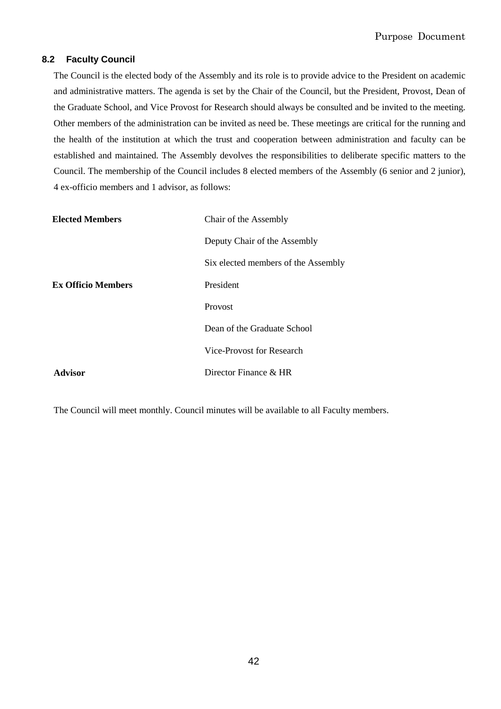## **8.2 Faculty Council**

The Council is the elected body of the Assembly and its role is to provide advice to the President on academic and administrative matters. The agenda is set by the Chair of the Council, but the President, Provost, Dean of the Graduate School, and Vice Provost for Research should always be consulted and be invited to the meeting. Other members of the administration can be invited as need be. These meetings are critical for the running and the health of the institution at which the trust and cooperation between administration and faculty can be established and maintained. The Assembly devolves the responsibilities to deliberate specific matters to the Council. The membership of the Council includes 8 elected members of the Assembly (6 senior and 2 junior), 4 ex-officio members and 1 advisor, as follows:

| <b>Elected Members</b>    | Chair of the Assembly               |
|---------------------------|-------------------------------------|
|                           | Deputy Chair of the Assembly        |
|                           | Six elected members of the Assembly |
| <b>Ex Officio Members</b> | President                           |
|                           | Provost                             |
|                           | Dean of the Graduate School         |
|                           | Vice-Provost for Research           |
| Advisor                   | Director Finance & HR               |

The Council will meet monthly. Council minutes will be available to all Faculty members.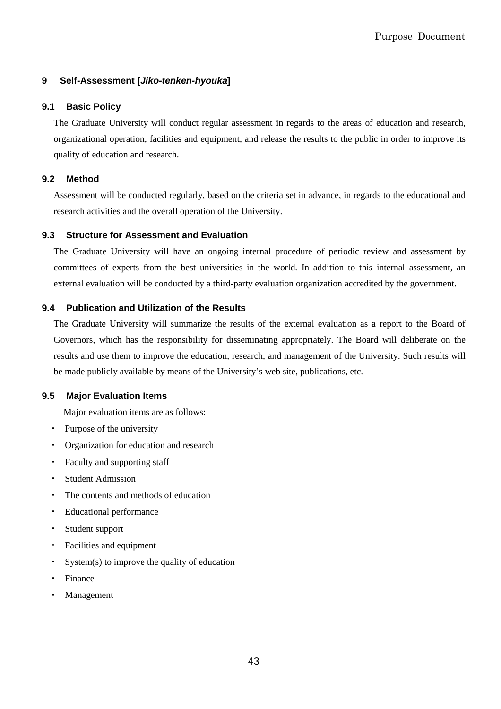## **9 Self-Assessment [Jiko-tenken-hyouka]**

## **9.1 Basic Policy**

The Graduate University will conduct regular assessment in regards to the areas of education and research, organizational operation, facilities and equipment, and release the results to the public in order to improve its quality of education and research.

## **9.2 Method**

Assessment will be conducted regularly, based on the criteria set in advance, in regards to the educational and research activities and the overall operation of the University.

## **9.3 Structure for Assessment and Evaluation**

The Graduate University will have an ongoing internal procedure of periodic review and assessment by committees of experts from the best universities in the world. In addition to this internal assessment, an external evaluation will be conducted by a third-party evaluation organization accredited by the government.

## **9.4 Publication and Utilization of the Results**

The Graduate University will summarize the results of the external evaluation as a report to the Board of Governors, which has the responsibility for disseminating appropriately. The Board will deliberate on the results and use them to improve the education, research, and management of the University. Such results will be made publicly available by means of the University's web site, publications, etc.

## **9.5 Major Evaluation Items**

Major evaluation items are as follows:

- Purpose of the university
- Organization for education and research
- ・ Faculty and supporting staff
- ・ Student Admission
- ・ The contents and methods of education
- ・ Educational performance
- ・ Student support
- ・ Facilities and equipment
- ・ System(s) to improve the quality of education
- ・ Finance
- **Management**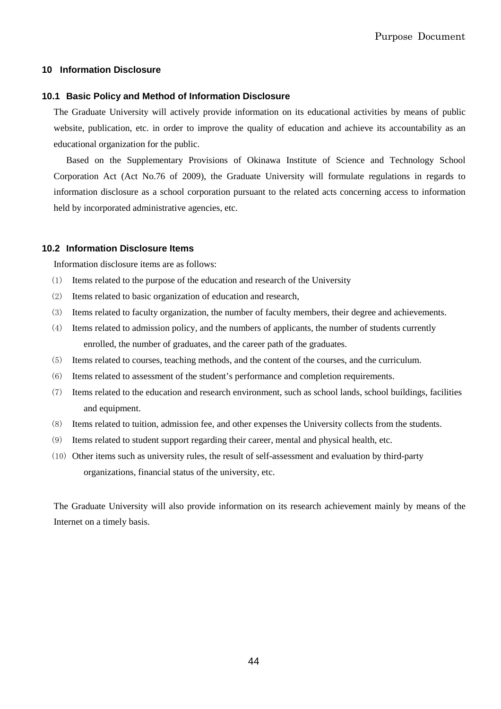## **10 Information Disclosure**

#### **10.1 Basic Policy and Method of Information Disclosure**

The Graduate University will actively provide information on its educational activities by means of public website, publication, etc. in order to improve the quality of education and achieve its accountability as an educational organization for the public.

Based on the Supplementary Provisions of Okinawa Institute of Science and Technology School Corporation Act (Act No.76 of 2009), the Graduate University will formulate regulations in regards to information disclosure as a school corporation pursuant to the related acts concerning access to information held by incorporated administrative agencies, etc.

#### **10.2 Information Disclosure Items**

Information disclosure items are as follows:

- (1) Items related to the purpose of the education and research of the University
- (2) Items related to basic organization of education and research,
- (3) Items related to faculty organization, the number of faculty members, their degree and achievements.
- (4) Items related to admission policy, and the numbers of applicants, the number of students currently enrolled, the number of graduates, and the career path of the graduates.
- (5) Items related to courses, teaching methods, and the content of the courses, and the curriculum.
- (6) Items related to assessment of the student's performance and completion requirements.
- (7) Items related to the education and research environment, such as school lands, school buildings, facilities and equipment.
- (8) Items related to tuition, admission fee, and other expenses the University collects from the students.
- (9) Items related to student support regarding their career, mental and physical health, etc.
- (10) Other items such as university rules, the result of self-assessment and evaluation by third-party organizations, financial status of the university, etc.

The Graduate University will also provide information on its research achievement mainly by means of the Internet on a timely basis.